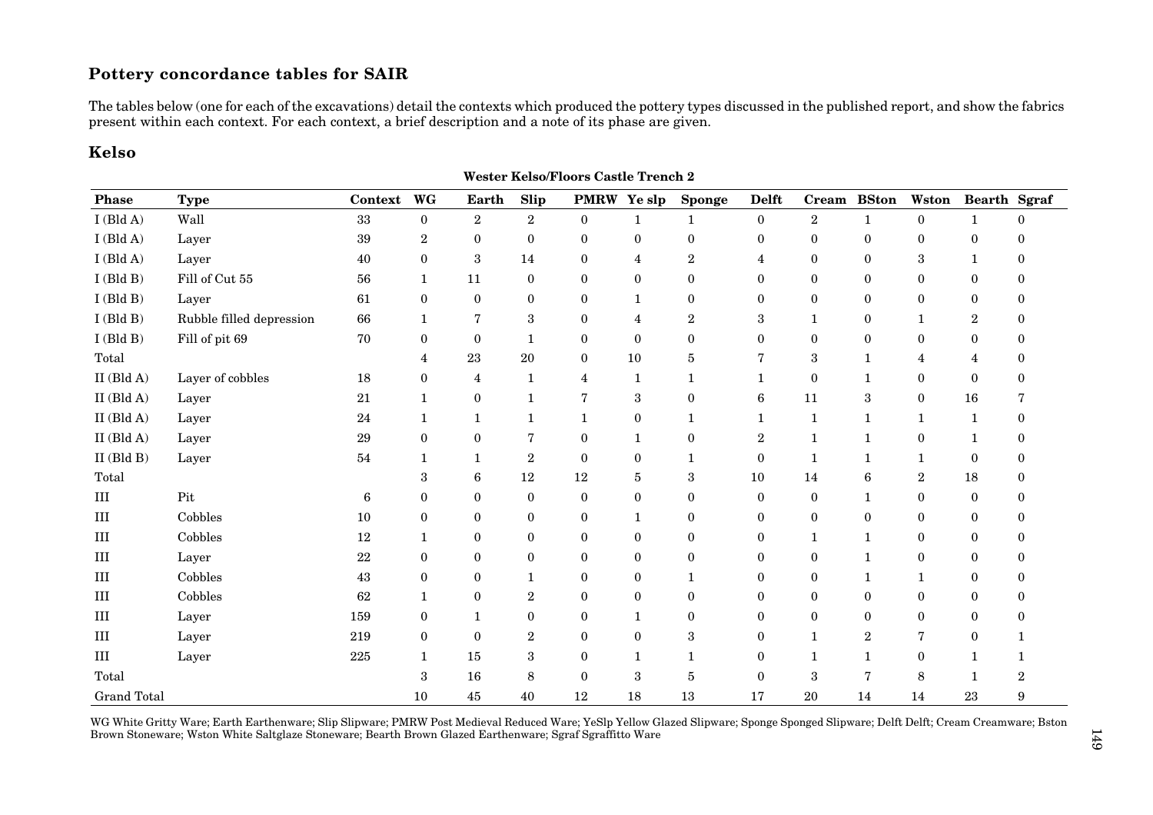## **Pottery concordance tables for SAIR**

The tables below (one for each of the excavations) detail the contexts which produced the pottery types discussed in the published report, and show the fabrics present within each context. For each context, a brief description and a note of its phase are given.

## **Kelso**

| <b>Phase</b>       | <b>Type</b>              | Context          | WG               | <b>Earth</b>     | Slip             | <b>PMRW</b>    | Ye slp         | <b>Sponge</b>    | <b>Delft</b>     | Cream            | <b>BSton</b>     | Wston            | Bearth Sgraf     |   |
|--------------------|--------------------------|------------------|------------------|------------------|------------------|----------------|----------------|------------------|------------------|------------------|------------------|------------------|------------------|---|
| $I$ (Bld A)        | Wall                     | 33               | $\overline{0}$   | $\overline{2}$   | $\overline{2}$   | $\bf{0}$       | $\mathbf{1}$   | 1                | $\overline{0}$   | $\boldsymbol{2}$ | $\mathbf{1}$     | $\boldsymbol{0}$ | $\mathbf{1}$     | 0 |
| $I$ (Bld A)        | Layer                    | 39               | $\boldsymbol{2}$ | $\Omega$         | $\mathbf{0}$     | $\theta$       | $\theta$       | $\theta$         | $\mathbf{0}$     | $\mathbf{0}$     | $\overline{0}$   | $\Omega$         | $\theta$         | 0 |
| $I$ (Bld A)        | Layer                    | 40               | $\mathbf{0}$     | 3                | 14               | $\mathbf{0}$   | $\overline{4}$ | $\boldsymbol{2}$ | $\overline{4}$   | $\mathbf{0}$     | $\overline{0}$   | 3                | $\mathbf{1}$     | 0 |
| $I$ (Bld B)        | Fill of Cut 55           | 56               | 1                | 11               | $\mathbf{0}$     | $\mathbf{0}$   | $\mathbf{0}$   | $\mathbf{0}$     | $\mathbf{0}$     | $\mathbf{0}$     | $\overline{0}$   | $\Omega$         | $\mathbf{0}$     | 0 |
| $I$ (Bld B)        | Layer                    | 61               | $\bf{0}$         | $\boldsymbol{0}$ | $\boldsymbol{0}$ | $\bf{0}$       | $\mathbf{1}$   | $\boldsymbol{0}$ | $\bf{0}$         | $\mathbf{0}$     | $\boldsymbol{0}$ | $\mathbf{0}$     | $\mathbf{0}$     | 0 |
| $I$ (Bld B)        | Rubble filled depression | 66               | 1                | 7                | 3                | $\mathbf{0}$   | 4              | $\overline{2}$   | $\boldsymbol{3}$ | 1                | $\boldsymbol{0}$ | 1                | $\boldsymbol{2}$ | 0 |
| $I$ (Bld B)        | Fill of pit 69           | 70               | $\mathbf{0}$     | $\boldsymbol{0}$ | 1                | $\mathbf{0}$   | $\mathbf{0}$   | $\overline{0}$   | $\mathbf{0}$     | $\boldsymbol{0}$ | $\boldsymbol{0}$ | $\mathbf{0}$     | $\bf{0}$         | 0 |
| Total              |                          |                  | 4                | 23               | 20               | $\mathbf{0}$   | 10             | 5                | 7                | 3                | $\mathbf{1}$     | 4                | 4                | 0 |
| $II$ (Bld A)       | Layer of cobbles         | 18               | $\mathbf{0}$     | 4                | 1                | 4              | $\mathbf 1$    | 1                | 1                | $\bf{0}$         | $\mathbf{1}$     | $\mathbf{0}$     | $\mathbf{0}$     | 0 |
| $II$ (Bld A)       | Layer                    | 21               | $\mathbf{1}$     | $\boldsymbol{0}$ | 1                | $\overline{7}$ | 3              | $\bf{0}$         | $\boldsymbol{6}$ | 11               | $\,3$            | $\boldsymbol{0}$ | 16               |   |
| $II$ (Bld A)       | Layer                    | 24               | 1                | 1                | $\mathbf{1}$     | 1              | $\bf{0}$       | 1                | 1                | 1                | $\mathbf{1}$     | 1                | 1                | 0 |
| $II$ (Bld A)       | Layer                    | 29               | $\boldsymbol{0}$ | $\boldsymbol{0}$ | 7                | $\bf{0}$       | $\mathbf{1}$   | $\bf{0}$         | $\boldsymbol{2}$ | $\mathbf{1}$     | $\mathbf{1}$     | $\boldsymbol{0}$ | $\mathbf 1$      | 0 |
| $II$ (Bld B)       | Layer                    | 54               | 1                | 1                | $\boldsymbol{2}$ | $\mathbf{0}$   | $\mathbf{0}$   | 1                | $\boldsymbol{0}$ | 1                | 1                | 1                | $\bf{0}$         | 0 |
| Total              |                          |                  | 3                | 6                | 12               | 12             | 5              | 3                | 10               | 14               | 6                | $\boldsymbol{2}$ | 18               | 0 |
| $\rm III$          | Pit                      | $\boldsymbol{6}$ | $\mathbf{0}$     | $\boldsymbol{0}$ | $\mathbf{0}$     | $\mathbf{0}$   | $\mathbf{0}$   | $\overline{0}$   | $\mathbf{0}$     | $\bf{0}$         | 1                | $\mathbf{0}$     | $\bf{0}$         | 0 |
| $\rm III$          | Cobbles                  | 10               | $\mathbf{0}$     | $\bf{0}$         | $\bf{0}$         | $\mathbf{0}$   | 1              | $\theta$         | $\mathbf{0}$     | $\bf{0}$         | $\overline{0}$   | $\mathbf{0}$     | $\bf{0}$         | 0 |
| III                | Cobbles                  | 12               | 1                | $\boldsymbol{0}$ | $\bf{0}$         | $\mathbf{0}$   | $\mathbf{0}$   | $\overline{0}$   | $\mathbf{0}$     | 1                | 1                | $\mathbf{0}$     | $\mathbf{0}$     | 0 |
| III                | Layer                    | 22               | $\mathbf{0}$     | $\boldsymbol{0}$ | $\boldsymbol{0}$ | $\mathbf{0}$   | $\mathbf{0}$   | $\theta$         | $\mathbf{0}$     | $\mathbf{0}$     | 1                | $\mathbf{0}$     | $\bf{0}$         | 0 |
| III                | Cobbles                  | 43               | $\mathbf{0}$     | $\boldsymbol{0}$ | 1                | $\mathbf{0}$   | $\mathbf{0}$   |                  | $\bf{0}$         | $\mathbf{0}$     | 1                | 1                | $\mathbf{0}$     | 0 |
| III                | Cobbles                  | 62               | $\mathbf{1}$     | $\theta$         | $\boldsymbol{2}$ | $\mathbf{0}$   | $\mathbf{0}$   | $\theta$         | $\mathbf{0}$     | $\bf{0}$         | $\overline{0}$   | $\theta$         | $\theta$         | 0 |
| III                | Layer                    | 159              | $\mathbf{0}$     |                  | $\bf{0}$         | $\mathbf{0}$   | 1              | $\overline{0}$   | $\mathbf{0}$     | $\bf{0}$         | $\overline{0}$   | $\mathbf{0}$     | $\mathbf{0}$     | 0 |
| Ш                  | Layer                    | 219              | $\Omega$         | $\Omega$         | $\overline{2}$   | $\theta$       | $\theta$       | 3                | $\theta$         | $\mathbf{1}$     | $\boldsymbol{2}$ |                  | $\theta$         |   |
| $\rm III$          | Layer                    | 225              | $\mathbf{1}$     | 15               | 3                | $\theta$       | $\mathbf{1}$   |                  | $\bf{0}$         | -1               | 1                | 0                |                  |   |
| Total              |                          |                  | 3                | 16               | 8                | $\mathbf{0}$   | 3              | 5                | $\mathbf{0}$     | 3                | 7                | 8                | 1                | 2 |
| <b>Grand Total</b> |                          |                  | 10               | 45               | 40               | 12             | 18             | 13               | 17               | 20               | 14               | 14               | 23               | 9 |

**Wester Kelso/Floors Castle Trench 2**

WG White Gritty Ware; Earth Earthenware; Slip Slipware; PMRW Post Medieval Reduced Ware; YeSlp Yellow Glazed Slipware; Sponge Sponged Slipware; Delft Delft; Cream Creamware; Bston Brown Stoneware; Wston White Saltglaze Stoneware; Bearth Brown Glazed Earthenware; Sgraf Sgraffitto Ware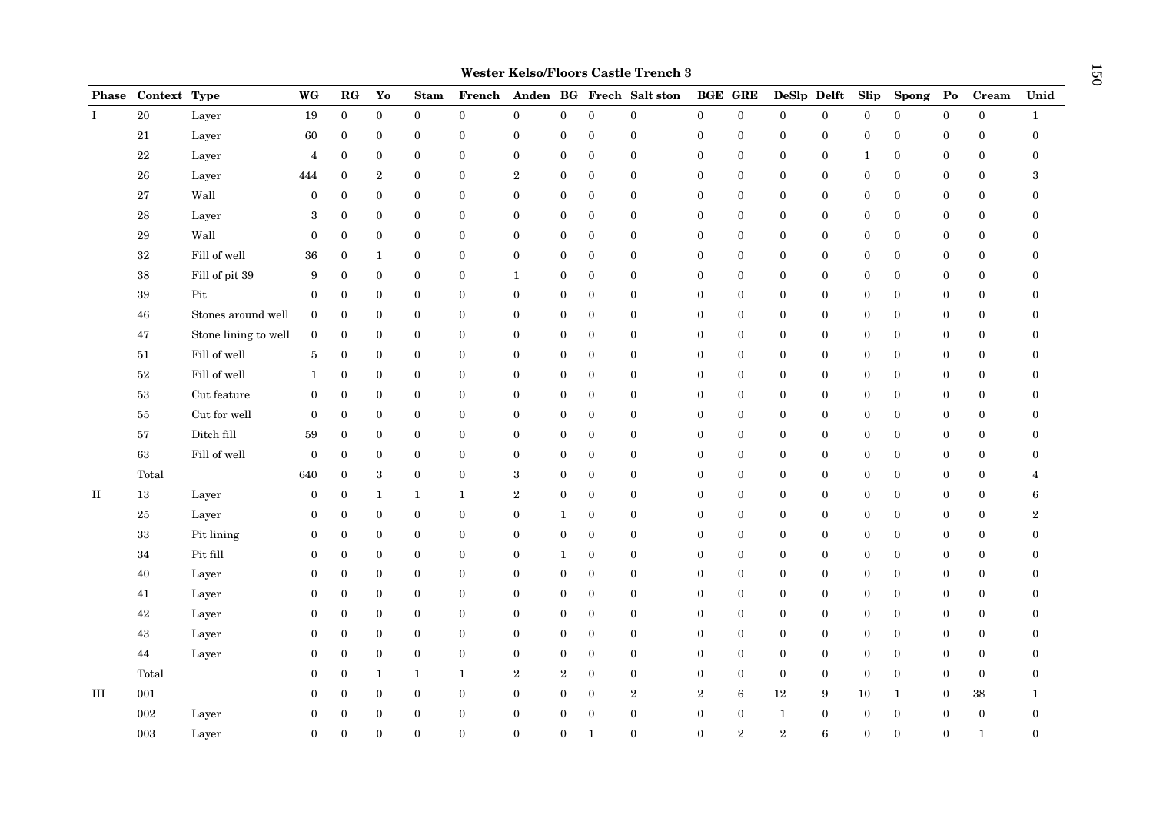| <b>Phase</b> | Context Type |                      | WG               | RG               | Yo               | <b>Stam</b>      | French           |                  |                  |                  | Anden BG Frech Salt ston | <b>BGE GRE</b>   |                  | DeSlp Delft      |                  | Slip             | <b>Spong</b>     | $\mathbf{Po}$    | Cream        | Unid             |
|--------------|--------------|----------------------|------------------|------------------|------------------|------------------|------------------|------------------|------------------|------------------|--------------------------|------------------|------------------|------------------|------------------|------------------|------------------|------------------|--------------|------------------|
| $\mathbf{I}$ | $20\,$       | Layer                | $19\,$           | $\mathbf{0}$     | $\boldsymbol{0}$ | $\boldsymbol{0}$ | $\boldsymbol{0}$ | $\boldsymbol{0}$ | $\boldsymbol{0}$ | $\Omega$         | $\theta$                 | $\bf{0}$         | $\boldsymbol{0}$ | $\boldsymbol{0}$ | $\boldsymbol{0}$ | $\boldsymbol{0}$ | $\boldsymbol{0}$ | $\boldsymbol{0}$ | $\bf{0}$     | $\mathbf{1}$     |
|              | 21           | Layer                | 60               | $\bf{0}$         | $\bf{0}$         | $\bf{0}$         | $\boldsymbol{0}$ | $\bf{0}$         | $\boldsymbol{0}$ | $\boldsymbol{0}$ | $\boldsymbol{0}$         | $\bf{0}$         | $\boldsymbol{0}$ | $\bf{0}$         | $\bf{0}$         | $\boldsymbol{0}$ | $\bf{0}$         | $\boldsymbol{0}$ | $\bf{0}$     | $\boldsymbol{0}$ |
|              | $22\,$       | Layer                | $\overline{4}$   | $\bf{0}$         | $\bf{0}$         | $\mathbf{0}$     | $\bf{0}$         | $\boldsymbol{0}$ | $\boldsymbol{0}$ | $\boldsymbol{0}$ | $\mathbf{0}$             | $\bf{0}$         | $\boldsymbol{0}$ | $\mathbf{0}$     | $\bf{0}$         | 1                | $\bf{0}$         | $\boldsymbol{0}$ | $\bf{0}$     | $\mathbf{0}$     |
|              | ${\bf 26}$   | Layer                | 444              | $\mathbf{0}$     | $\boldsymbol{2}$ | $\bf{0}$         | $\mathbf{0}$     | $\overline{2}$   | $\bf{0}$         | $\boldsymbol{0}$ | $\boldsymbol{0}$         | $\bf{0}$         | $\mathbf{0}$     | $\mathbf{0}$     | $\bf{0}$         | $\boldsymbol{0}$ | $\mathbf{0}$     | $\boldsymbol{0}$ | $\bf{0}$     | 3                |
|              | 27           | Wall                 | $\bf{0}$         | 0                | $\bf{0}$         | $\bf{0}$         | $\bf{0}$         | $\bf{0}$         | $\bf{0}$         | $\boldsymbol{0}$ | $\bf{0}$                 | $\bf{0}$         | 0                | $\bf{0}$         | $\bf{0}$         | $\boldsymbol{0}$ | $\bf{0}$         | $\boldsymbol{0}$ | $\bf{0}$     | $\mathbf{0}$     |
|              | ${\bf 28}$   | Layer                | 3                | 0                | $\bf{0}$         | $\bf{0}$         | $\boldsymbol{0}$ | $\bf{0}$         | $\bf{0}$         | $\boldsymbol{0}$ | $\bf{0}$                 | $\bf{0}$         | $\boldsymbol{0}$ | $\bf{0}$         | $\bf{0}$         | $\boldsymbol{0}$ | $\bf{0}$         | $\boldsymbol{0}$ | $\bf{0}$     | $\mathbf{0}$     |
|              | 29           | Wall                 | $\mathbf{0}$     | $\mathbf{0}$     | $\mathbf{0}$     | $\mathbf{0}$     | $\boldsymbol{0}$ | $\mathbf{0}$     | $\boldsymbol{0}$ | $\boldsymbol{0}$ | $\boldsymbol{0}$         | $\bf{0}$         | $\overline{0}$   | $\mathbf{0}$     | $\bf{0}$         | $\boldsymbol{0}$ | $\mathbf{0}$     | $\boldsymbol{0}$ | $\bf{0}$     | $\Omega$         |
|              | $32\,$       | Fill of well         | 36               | $\boldsymbol{0}$ | $\mathbf{1}$     | $\mathbf{0}$     | $\boldsymbol{0}$ | $\boldsymbol{0}$ | $\boldsymbol{0}$ | $\boldsymbol{0}$ | $\bf{0}$                 | $\bf{0}$         | $\boldsymbol{0}$ | $\bf{0}$         | $\bf{0}$         | $\boldsymbol{0}$ | $\mathbf{0}$     | $\bf{0}$         | $\bf{0}$     | 0                |
|              | $38\,$       | Fill of pit 39       | 9                | $\boldsymbol{0}$ | $\bf{0}$         | $\bf{0}$         | $\boldsymbol{0}$ | $\mathbf{1}$     | $\boldsymbol{0}$ | $\boldsymbol{0}$ | $\boldsymbol{0}$         | $\bf{0}$         | $\boldsymbol{0}$ | $\bf{0}$         | $\boldsymbol{0}$ | $\boldsymbol{0}$ | $\bf{0}$         | $\bf{0}$         | $\bf{0}$     | $\mathbf{0}$     |
|              | $39\,$       | $\mathop{\rm Pit}$   | $\bf{0}$         | $\boldsymbol{0}$ | $\bf{0}$         | $\mathbf{0}$     | $\boldsymbol{0}$ | $\boldsymbol{0}$ | $\boldsymbol{0}$ | $\boldsymbol{0}$ | $\mathbf{0}$             | $\bf{0}$         | $\overline{0}$   | $\mathbf{0}$     | $\bf{0}$         | $\boldsymbol{0}$ | $\mathbf{0}$     | $\boldsymbol{0}$ | $\bf{0}$     | $\Omega$         |
|              | ${\bf 46}$   | Stones around well   | $\mathbf{0}$     | $\mathbf{0}$     | $\bf{0}$         | $\bf{0}$         | $\mathbf{0}$     | $\boldsymbol{0}$ | $\bf{0}$         | $\mathbf{0}$     | $\boldsymbol{0}$         | $\bf{0}$         | $\bf{0}$         | $\mathbf{0}$     | $\bf{0}$         | $\boldsymbol{0}$ | $\bf{0}$         | $\boldsymbol{0}$ | $\bf{0}$     | $\mathbf{0}$     |
|              | $\bf 47$     | Stone lining to well | $\bf{0}$         | $\boldsymbol{0}$ | $\bf{0}$         | $\bf{0}$         | $\bf{0}$         | $\bf{0}$         | $\bf{0}$         | $\boldsymbol{0}$ | $\bf{0}$                 | $\bf{0}$         | 0                | $\bf{0}$         | $\bf{0}$         | $\boldsymbol{0}$ | $\bf{0}$         | $\bf{0}$         | $\bf{0}$     | $\mathbf{0}$     |
|              | 51           | Fill of well         | 5                | $\boldsymbol{0}$ | $\bf{0}$         | $\bf{0}$         | $\boldsymbol{0}$ | $\boldsymbol{0}$ | $\boldsymbol{0}$ | $\boldsymbol{0}$ | $\bf{0}$                 | $\bf{0}$         | $\boldsymbol{0}$ | $\bf{0}$         | $\bf{0}$         | $\boldsymbol{0}$ | $\bf{0}$         | $\boldsymbol{0}$ | $\bf{0}$     | $\Omega$         |
|              | $52\,$       | Fill of well         | $\mathbf{1}$     | $\mathbf{0}$     | $\bf{0}$         | $\mathbf{0}$     | $\boldsymbol{0}$ | $\mathbf{0}$     | $\boldsymbol{0}$ | $\boldsymbol{0}$ | $\boldsymbol{0}$         | $\bf{0}$         | $\boldsymbol{0}$ | $\mathbf{0}$     | $\bf{0}$         | $\boldsymbol{0}$ | $\mathbf{0}$     | $\boldsymbol{0}$ | $\bf{0}$     | $\Omega$         |
|              | $53\,$       | Cut feature          | $\mathbf{0}$     | $\mathbf{0}$     | $\bf{0}$         | $\mathbf{0}$     | $\mathbf{0}$     | $\mathbf{0}$     | $\boldsymbol{0}$ | $\mathbf{0}$     | $\mathbf{0}$             | $\mathbf{0}$     | $\boldsymbol{0}$ | $\mathbf{0}$     | $\boldsymbol{0}$ | $\boldsymbol{0}$ | $\bf{0}$         | $\boldsymbol{0}$ | $\mathbf{0}$ | $\Omega$         |
|              | 55           | Cut for well         | $\bf{0}$         | $\boldsymbol{0}$ | $\bf{0}$         | $\bf{0}$         | $\boldsymbol{0}$ | $\bf{0}$         | $\boldsymbol{0}$ | $\boldsymbol{0}$ | $\boldsymbol{0}$         | $\bf{0}$         | $\boldsymbol{0}$ | $\bf{0}$         | $\bf{0}$         | $\boldsymbol{0}$ | $\bf{0}$         | $\bf{0}$         | $\bf{0}$     | $\mathbf{0}$     |
|              | 57           | Ditch fill           | 59               | $\boldsymbol{0}$ | $\bf{0}$         | $\boldsymbol{0}$ | $\boldsymbol{0}$ | $\boldsymbol{0}$ | $\boldsymbol{0}$ | $\boldsymbol{0}$ | $\mathbf{0}$             | $\bf{0}$         | $\overline{0}$   | $\mathbf{0}$     | $\bf{0}$         | $\boldsymbol{0}$ | $\bf{0}$         | $\boldsymbol{0}$ | $\bf{0}$     | $\Omega$         |
|              | 63           | Fill of well         | $\bf{0}$         | $\mathbf{0}$     | $\bf{0}$         | $\bf{0}$         | $\mathbf{0}$     | $\bf{0}$         | $\bf{0}$         | $\boldsymbol{0}$ | $\boldsymbol{0}$         | $\bf{0}$         | $\bf{0}$         | $\mathbf{0}$     | $\bf{0}$         | $\boldsymbol{0}$ | $\bf{0}$         | $\boldsymbol{0}$ | $\bf{0}$     | $\mathbf{0}$     |
|              | Total        |                      | 640              | 0                | $\,3$            | $\bf{0}$         | $\bf{0}$         | 3                | $\bf{0}$         | $\boldsymbol{0}$ | $\bf{0}$                 | $\bf{0}$         | 0                | $\bf{0}$         | $\bf{0}$         | $\boldsymbol{0}$ | $\bf{0}$         | $\boldsymbol{0}$ | $\bf{0}$     | 4                |
| $\rm II$     | 13           | Layer                | $\bf{0}$         | 0                | $\mathbf{1}$     | $\mathbf{1}$     | $\mathbf{1}$     | $\overline{2}$   | $\boldsymbol{0}$ | $\boldsymbol{0}$ | $\boldsymbol{0}$         | $\bf{0}$         | $\boldsymbol{0}$ | $\bf{0}$         | $\bf{0}$         | $\boldsymbol{0}$ | $\bf{0}$         | $\boldsymbol{0}$ | $\bf{0}$     | 6                |
|              | $25\,$       | Layer                | $\bf{0}$         | $\mathbf{0}$     | $\bf{0}$         | $\bf{0}$         | $\boldsymbol{0}$ | $\mathbf{0}$     | 1                | $\boldsymbol{0}$ | $\boldsymbol{0}$         | $\mathbf{0}$     | $\boldsymbol{0}$ | $\mathbf{0}$     | $\bf{0}$         | $\boldsymbol{0}$ | $\bf{0}$         | $\boldsymbol{0}$ | $\bf{0}$     | $\boldsymbol{2}$ |
|              | $33\,$       | Pit lining           | $\bf{0}$         | $\mathbf{0}$     | $\bf{0}$         | $\mathbf{0}$     | $\mathbf{0}$     | $\mathbf{0}$     | $\boldsymbol{0}$ | $\mathbf{0}$     | $\mathbf{0}$             | $\mathbf{0}$     | $\boldsymbol{0}$ | $\mathbf{0}$     | $\boldsymbol{0}$ | $\boldsymbol{0}$ | $\bf{0}$         | $\boldsymbol{0}$ | $\bf{0}$     | $\Omega$         |
|              | 34           | Pit fill             | $\bf{0}$         | $\boldsymbol{0}$ | $\bf{0}$         | $\bf{0}$         | $\boldsymbol{0}$ | $\bf{0}$         | $\mathbf{1}$     | $\boldsymbol{0}$ | $\boldsymbol{0}$         | $\bf{0}$         | $\boldsymbol{0}$ | $\bf{0}$         | $\bf{0}$         | $\boldsymbol{0}$ | $\bf{0}$         | $\bf{0}$         | $\bf{0}$     | $\mathbf{0}$     |
|              | 40           | Layer                | $\boldsymbol{0}$ | $\boldsymbol{0}$ | $\bf{0}$         | $\mathbf{0}$     | $\boldsymbol{0}$ | $\boldsymbol{0}$ | $\boldsymbol{0}$ | $\boldsymbol{0}$ | $\mathbf{0}$             | $\bf{0}$         | $\boldsymbol{0}$ | $\mathbf{0}$     | $\bf{0}$         | $\boldsymbol{0}$ | $\mathbf{0}$     | $\boldsymbol{0}$ | $\bf{0}$     | $\mathbf{0}$     |
|              | 41           | Layer                | $\bf{0}$         | $\mathbf{0}$     | $\bf{0}$         | $\bf{0}$         | $\mathbf{0}$     | $\boldsymbol{0}$ | $\bf{0}$         | $\boldsymbol{0}$ | $\boldsymbol{0}$         | $\bf{0}$         | $\mathbf{0}$     | $\mathbf{0}$     | $\bf{0}$         | $\boldsymbol{0}$ | $\mathbf{0}$     | $\boldsymbol{0}$ | $\bf{0}$     | $\mathbf{0}$     |
|              | $42\,$       | Layer                | $\bf{0}$         | 0                | $\bf{0}$         | $\bf{0}$         | $\bf{0}$         | $\bf{0}$         | $\bf{0}$         | $\boldsymbol{0}$ | $\bf{0}$                 | $\bf{0}$         | $\bf{0}$         | $\bf{0}$         | $\bf{0}$         | $\boldsymbol{0}$ | $\bf{0}$         | $\bf{0}$         | $\bf{0}$     | 0                |
|              | 43           | Layer                | $\bf{0}$         | 0                | $\bf{0}$         | $\mathbf{0}$     | $\boldsymbol{0}$ | $\bf{0}$         | $\bf{0}$         | $\boldsymbol{0}$ | $\bf{0}$                 | $\bf{0}$         | $\bf{0}$         | $\bf{0}$         | $\bf{0}$         | $\boldsymbol{0}$ | $\bf{0}$         | $\boldsymbol{0}$ | $\bf{0}$     | $\Omega$         |
|              | 44           | Layer                | $\bf{0}$         | $\mathbf{0}$     | $\bf{0}$         | $\mathbf{0}$     | $\bf{0}$         | $\mathbf{0}$     | $\boldsymbol{0}$ | $\boldsymbol{0}$ | $\boldsymbol{0}$         | $\mathbf{0}$     | $\boldsymbol{0}$ | $\mathbf{0}$     | $\bf{0}$         | $\boldsymbol{0}$ | $\bf{0}$         | $\bf{0}$         | $\bf{0}$     | $\Omega$         |
|              | Total        |                      | $\mathbf{0}$     | $\mathbf{0}$     | $\mathbf{1}$     | $\mathbf{1}$     | $\mathbf{1}$     | $\,2$            | $\,2$            | $\mathbf{0}$     | $\mathbf{0}$             | $\mathbf{0}$     | $\boldsymbol{0}$ | $\mathbf{0}$     | $\boldsymbol{0}$ | $\boldsymbol{0}$ | $\boldsymbol{0}$ | $\boldsymbol{0}$ | $\mathbf{0}$ | $\Omega$         |
| Ш            | 001          |                      | $\mathbf{0}$     | 0                | $\bf{0}$         | $\bf{0}$         | $\boldsymbol{0}$ | $\bf{0}$         | $\boldsymbol{0}$ | $\boldsymbol{0}$ | $\,2$                    | $\boldsymbol{2}$ | 6                | 12               | 9                | 10               | $\mathbf{1}$     | $\boldsymbol{0}$ | $38\,$       | 1                |
|              | ${\bf 002}$  | Layer                | $\boldsymbol{0}$ | $\boldsymbol{0}$ | $\boldsymbol{0}$ | $\mathbf{0}$     | $\boldsymbol{0}$ | $\boldsymbol{0}$ | $\boldsymbol{0}$ | $\overline{0}$   | $\mathbf{0}$             | $\bf{0}$         | $\mathbf{0}$     | $\mathbf{1}$     | $\boldsymbol{0}$ | $\boldsymbol{0}$ | $\boldsymbol{0}$ | $\boldsymbol{0}$ | $\bf{0}$     | $\mathbf{0}$     |
|              | 003          | Layer                | $\mathbf{0}$     | $\Omega$         | $\overline{0}$   | $\Omega$         | $\theta$         | $\theta$         | $\mathbf{0}$     | $\mathbf{1}$     | $\Omega$                 | $\Omega$         | $\overline{2}$   | $\overline{2}$   | $\,6$            | $\mathbf{0}$     | $\theta$         | $\mathbf{0}$     | $\mathbf{1}$ | $\overline{0}$   |

**Wester Kelso/Floors Castle Trench 3**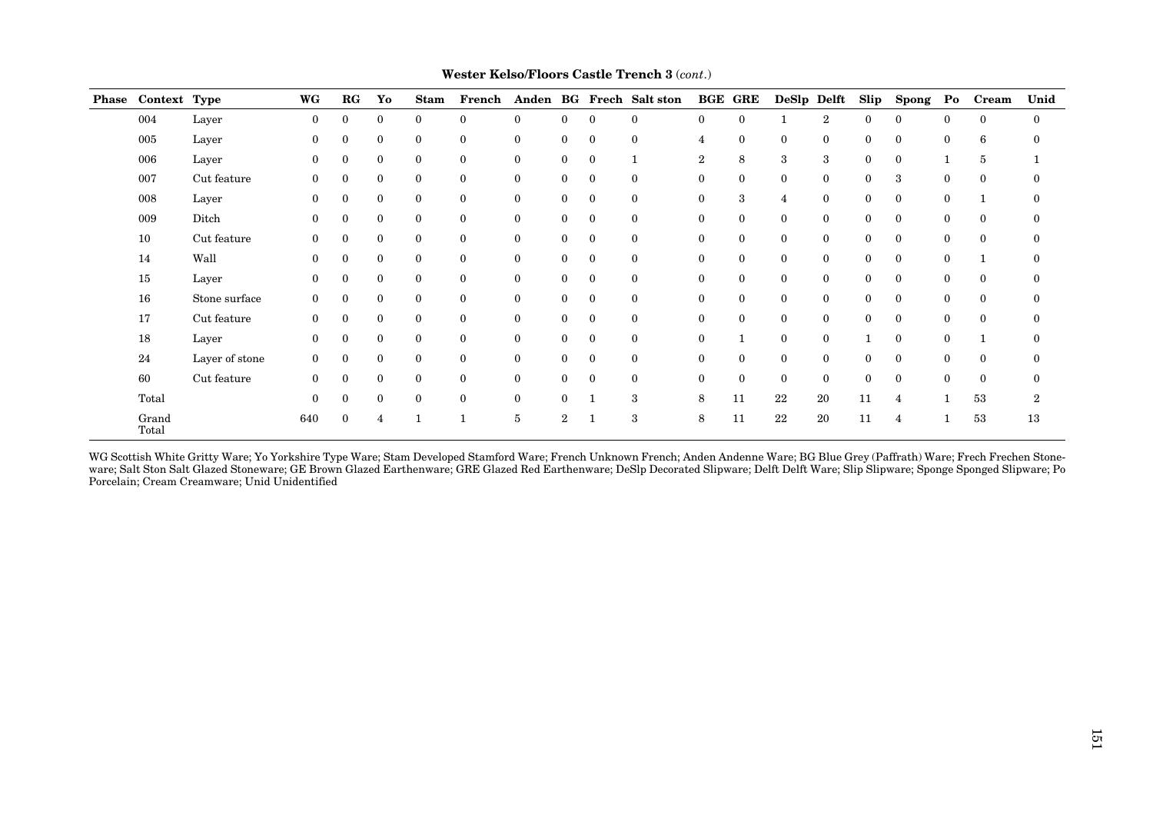| Phase Context Type |                | WG           | $_{\rm RG}$  | Yo             | <b>Stam</b>  | French       |                |                |              | Anden BG Frech Salt ston | <b>BGE GRE</b>   |                | DeSlp Delft    |                | Slip         | <b>Spong</b> | $\mathbf{Po}$ | <b>Cream</b> | Unid             |
|--------------------|----------------|--------------|--------------|----------------|--------------|--------------|----------------|----------------|--------------|--------------------------|------------------|----------------|----------------|----------------|--------------|--------------|---------------|--------------|------------------|
| 004                | Layer          | $\mathbf{0}$ | $\bf{0}$     | $\mathbf{0}$   | $\mathbf{0}$ | $\mathbf{0}$ | $\mathbf{0}$   | $\Omega$       | $\mathbf{0}$ | $\mathbf{0}$             | $\theta$         | $\mathbf{0}$   |                | $\overline{2}$ | $\mathbf{0}$ | $\Omega$     | $\mathbf{0}$  | $\mathbf{0}$ | $\mathbf{0}$     |
| 005                | Layer          | $\mathbf{0}$ | $\mathbf{0}$ | $\mathbf{0}$   | $\mathbf{0}$ | $\mathbf{0}$ | $\overline{0}$ | $\mathbf{0}$   | $\bf{0}$     | $\mathbf{0}$             | 4                | $\mathbf{0}$   | $\mathbf{0}$   | $\mathbf{0}$   | $\mathbf{0}$ | $\theta$     | $\mathbf{0}$  | 6            | $\theta$         |
| 006                | Layer          | $\mathbf{0}$ | $\mathbf{0}$ | $\bf{0}$       | $\mathbf{0}$ | $\mathbf{0}$ | $\overline{0}$ | $\overline{0}$ | $\bf{0}$     |                          | $\boldsymbol{2}$ | 8              | 3              | 3              | $\mathbf{0}$ | $\Omega$     |               | 5            |                  |
| 007                | Cut feature    | $\theta$     | $\bf{0}$     | $\bf{0}$       | $\mathbf{0}$ | $\mathbf{0}$ | $\bf{0}$       | $\mathbf{0}$   | $\mathbf{0}$ | $\theta$                 | $\theta$         | $\overline{0}$ | $\theta$       | $\bf{0}$       | $\mathbf{0}$ | 3            | $\theta$      | $\mathbf{0}$ | 0                |
| 008                | Layer          | $\mathbf{0}$ | $\bf{0}$     | $\bf{0}$       | $\mathbf{0}$ | $\mathbf{0}$ | $\overline{0}$ | $\overline{0}$ | $\bf{0}$     | $\mathbf{0}$             | $\mathbf{0}$     | 3              | $\overline{4}$ | $\bf{0}$       | $\mathbf{0}$ | $\mathbf{0}$ | $\mathbf{0}$  | 1            | $\boldsymbol{0}$ |
| 009                | Ditch          | $\Omega$     | $\mathbf{0}$ | $\mathbf{0}$   | $\mathbf{0}$ | $\mathbf{0}$ | $\overline{0}$ | $\overline{0}$ | $\bf{0}$     | $\mathbf{0}$             | $\mathbf{0}$     | $\mathbf{0}$   | $\mathbf{0}$   | $\mathbf{0}$   | $\mathbf{0}$ | $\mathbf{0}$ | $\mathbf{0}$  | $\mathbf{0}$ | $\boldsymbol{0}$ |
| 10                 | Cut feature    | $\mathbf{0}$ | $\mathbf{0}$ | $\mathbf{0}$   | $\mathbf{0}$ | $\bf{0}$     | $\mathbf{0}$   | $\overline{0}$ | $\bf{0}$     | $\mathbf{0}$             | $\mathbf{0}$     | $\mathbf{0}$   | $\mathbf{0}$   | $\bf{0}$       | $\mathbf{0}$ | $\theta$     | $\mathbf{0}$  | $\mathbf{0}$ | $\mathbf{0}$     |
| 14                 | Wall           | $\mathbf{0}$ | $\mathbf{0}$ | $\bf{0}$       | $\mathbf{0}$ | $\mathbf{0}$ | $\mathbf{0}$   | $\mathbf{0}$   | $\bf{0}$     | $\mathbf{0}$             | $\mathbf{0}$     | $\mathbf{0}$   | $\mathbf{0}$   | $\bf{0}$       | $\mathbf{0}$ | $\theta$     | $\mathbf{0}$  | 1            | $\mathbf{0}$     |
| 15                 | Layer          | $\mathbf{0}$ | $\mathbf{0}$ | $\bf{0}$       | $\mathbf{0}$ | $\mathbf{0}$ | $\overline{0}$ | $\mathbf{0}$   | $\bf{0}$     | $\theta$                 | $\mathbf{0}$     | $\mathbf{0}$   | $\mathbf{0}$   | $\mathbf{0}$   | $\Omega$     | $\Omega$     | $\theta$      | $\mathbf{0}$ | $\theta$         |
| 16                 | Stone surface  | $\Omega$     | $\theta$     | $\mathbf{0}$   | $\theta$     | $\mathbf{0}$ | $\mathbf{0}$   | $\theta$       | $\mathbf{0}$ | $\theta$                 | $\theta$         | $\mathbf{0}$   | $\theta$       | $\mathbf{0}$   | $\Omega$     | $\Omega$     | $\theta$      | $\mathbf{0}$ | $\theta$         |
| 17                 | Cut feature    | $\Omega$     | $\bf{0}$     | $\bf{0}$       | $\mathbf{0}$ | $\mathbf{0}$ | $\mathbf{0}$   | $\overline{0}$ | $\mathbf{0}$ | $\mathbf{0}$             | $\mathbf{0}$     | $\overline{0}$ | $\mathbf{0}$   | $\mathbf{0}$   | $\mathbf{0}$ | $\theta$     | $\mathbf{0}$  | $\mathbf{0}$ | $\theta$         |
| 18                 | Layer          | $\mathbf{0}$ | $\mathbf{0}$ | $\mathbf{0}$   | $\mathbf{0}$ | $\mathbf{0}$ | $\overline{0}$ | $\mathbf{0}$   | $\bf{0}$     | $\mathbf{0}$             | $\mathbf{0}$     |                | $\mathbf{0}$   | $\mathbf{0}$   |              | $\mathbf{0}$ | $\mathbf{0}$  | 1            | $\mathbf{0}$     |
| 24                 | Layer of stone | $\mathbf{0}$ | $\bf{0}$     | $\mathbf{0}$   | $\mathbf{0}$ | $\mathbf{0}$ | $\overline{0}$ | $\mathbf{0}$   | $\bf{0}$     | $\mathbf{0}$             | $\mathbf{0}$     | $\overline{0}$ | $\mathbf{0}$   | $\mathbf{0}$   | $\mathbf{0}$ | $\mathbf{0}$ | $\mathbf{0}$  | $\mathbf{0}$ | $\mathbf{0}$     |
| 60                 | Cut feature    | $\Omega$     | $\mathbf{0}$ | $\mathbf{0}$   | $\mathbf{0}$ | $\mathbf{0}$ | $\mathbf{0}$   | $\mathbf{0}$   | $\mathbf{0}$ | $\mathbf{0}$             | $\theta$         | $\mathbf{0}$   | $\theta$       | $\mathbf{0}$   | $\Omega$     | $\Omega$     | $\theta$      | $\mathbf{0}$ | $\theta$         |
| Total              |                | $\theta$     | $\Omega$     | $\mathbf{0}$   | $\mathbf{0}$ | $\mathbf{0}$ | $\mathbf{0}$   | $\theta$       |              | 3                        | 8                | 11             | 22             | 20             | 11           |              |               | 53           | $\boldsymbol{2}$ |
| Grand<br>Total     |                | 640          | $\Omega$     | $\overline{4}$ |              |              | 5              | $\overline{2}$ |              | 3                        | 8                | 11             | 22             | 20             | 11           | 4            |               | 53           | 13               |

**Wester Kelso/Floors Castle Trench 3** (*cont*.)

WG Scottish White Gritty Ware; Yo Yorkshire Type Ware; Stam Developed Stamford Ware; French Unknown French; Anden Andenne Ware; BG Blue Grey (Paffrath) Ware; Frech Frechen Stoneware; Salt Ston Salt Glazed Stoneware; GE Brown Glazed Earthenware; GRE Glazed Red Earthenware; DeSlp Decorated Slipware; Delft Delft Ware; Slip Slipware; Sponge Sponged Slipware; Po Porcelain; Cream Creamware; Unid Unidentified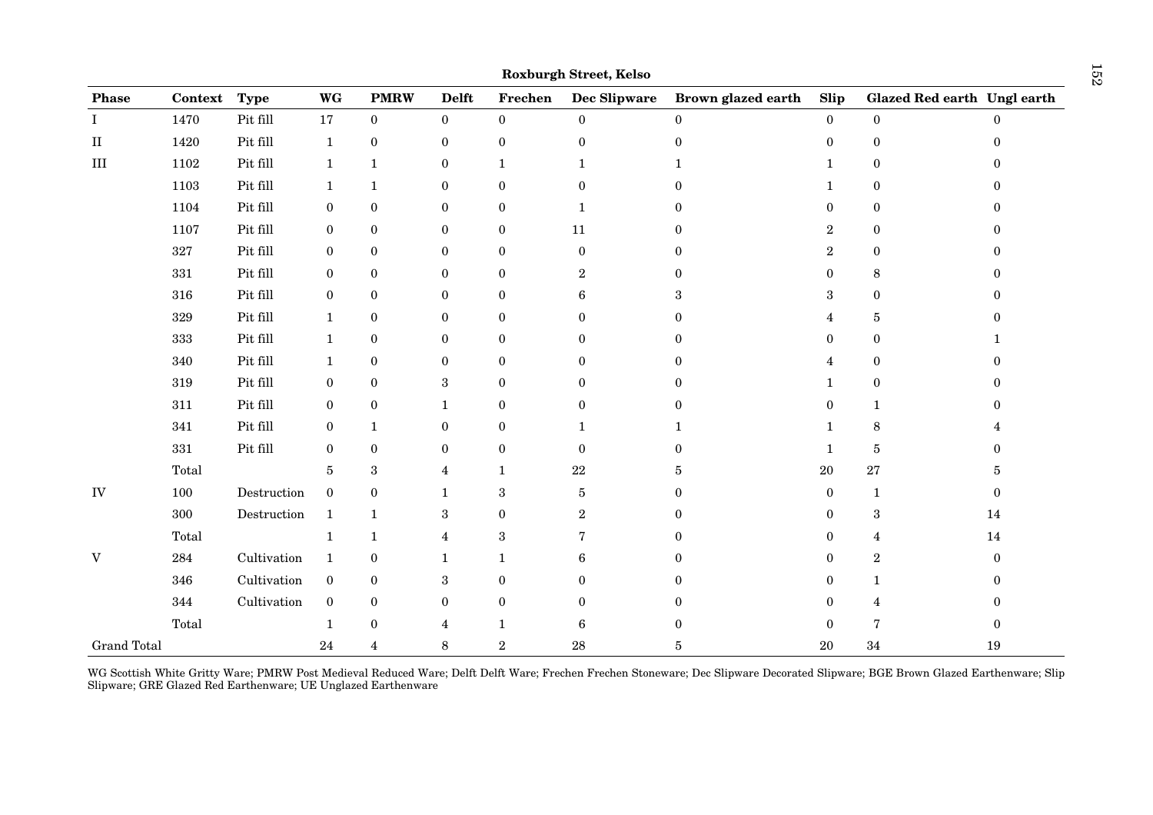| Phase              | Context | <b>Type</b> | WG               | <b>PMRW</b>      | <b>Delft</b>     | Frechen          | Dec Slipware     | Brown glazed earth | Slip             | Glazed Red earth Ungl earth |                |
|--------------------|---------|-------------|------------------|------------------|------------------|------------------|------------------|--------------------|------------------|-----------------------------|----------------|
| I                  | 1470    | Pit fill    | 17               | $\bf{0}$         | $\overline{0}$   | $\bf{0}$         | $\bf{0}$         | $\overline{0}$     | $\bf{0}$         | $\overline{0}$              |                |
| $\rm II$           | 1420    | Pit fill    | $\mathbf 1$      | $\boldsymbol{0}$ | $\boldsymbol{0}$ | $\boldsymbol{0}$ | $\boldsymbol{0}$ | $\overline{0}$     | $\boldsymbol{0}$ | $\boldsymbol{0}$            | 0              |
| $\rm III$          | 1102    | Pit fill    | $\mathbf{1}$     | $\mathbf{1}$     | $\boldsymbol{0}$ | $\mathbf{1}$     | $\mathbf{1}$     | 1                  | 1                | $\boldsymbol{0}$            |                |
|                    | 1103    | Pit fill    | $\mathbf{1}$     | $\mathbf{1}$     | $\bf{0}$         | $\boldsymbol{0}$ | $\boldsymbol{0}$ | 0                  | 1                | $\bf{0}$                    |                |
|                    | 1104    | Pit fill    | $\bf{0}$         | $\bf{0}$         | $\boldsymbol{0}$ | $\bf{0}$         | $\mathbf{1}$     | 0                  | $\theta$         | $\boldsymbol{0}$            |                |
|                    | 1107    | Pit fill    | $\bf{0}$         | $\bf{0}$         | $\boldsymbol{0}$ | $\boldsymbol{0}$ | 11               | $\Omega$           | $\overline{2}$   | $\bf{0}$                    |                |
|                    | $327\,$ | Pit fill    | $\boldsymbol{0}$ | $\bf{0}$         | $\bf{0}$         | $\bf{0}$         | $\bf{0}$         | 0                  | $\boldsymbol{2}$ | $\bf{0}$                    | 0              |
|                    | $331\,$ | Pit fill    | $\boldsymbol{0}$ | $\bf{0}$         | $\bf{0}$         | $\boldsymbol{0}$ | $\,2$            | 0                  | 0                | $\,8\,$                     | 0              |
|                    | 316     | Pit fill    | $\boldsymbol{0}$ | $\bf{0}$         | 0                | $\boldsymbol{0}$ | 6                | 3                  | 3                | $\boldsymbol{0}$            |                |
|                    | 329     | Pit fill    | $\mathbf{1}$     | $\bf{0}$         | $\bf{0}$         | $\bf{0}$         | $\boldsymbol{0}$ | 0                  | 4                | 5                           |                |
|                    | 333     | Pit fill    | $\mathbf{1}$     | $\bf{0}$         | $\bf{0}$         | $\boldsymbol{0}$ | $\mathbf{0}$     | 0                  | $\mathbf{0}$     | $\boldsymbol{0}$            |                |
|                    | 340     | Pit fill    | $\mathbf{1}$     | $\boldsymbol{0}$ | $\bf{0}$         | $\boldsymbol{0}$ | $\overline{0}$   | 0                  | 4                | $\bf{0}$                    |                |
|                    | 319     | Pit fill    | $\bf{0}$         | $\bf{0}$         | 3                | $\bf{0}$         | $\overline{0}$   | 0                  | 1                | $\boldsymbol{0}$            |                |
|                    | $311\,$ | Pit fill    | $\bf{0}$         | $\bf{0}$         | $\mathbf{1}$     | $\boldsymbol{0}$ | $\bf{0}$         | 0                  | 0                | $\mathbf{1}$                |                |
|                    | 341     | Pit fill    | $\bf{0}$         | $\mathbf{1}$     | $\boldsymbol{0}$ | $\boldsymbol{0}$ | $\mathbf{1}$     | 1                  | 1                | $\,8\,$                     |                |
|                    | $331\,$ | Pit fill    | $\boldsymbol{0}$ | $\bf{0}$         | $\bf{0}$         | $\bf{0}$         | $\bf{0}$         | 0                  | 1                | $\bf 5$                     |                |
|                    | Total   |             | 5                | $\sqrt{3}$       | $\overline{4}$   | $\mathbf{1}$     | $\bf 22$         | 5                  | 20               | $\sqrt{27}$                 | 5              |
| ${\rm IV}$         | 100     | Destruction | $\boldsymbol{0}$ | $\bf{0}$         | $\mathbf{1}$     | $\,3$            | $\bf 5$          | 0                  | $\boldsymbol{0}$ | $\mathbf{1}$                | 0              |
|                    | $300\,$ | Destruction | $\mathbf{1}$     | $\mathbf{1}$     | $\,3$            | $\boldsymbol{0}$ | $\,2$            |                    | $\mathbf{0}$     | $\,3\,$                     | 14             |
|                    | Total   |             | $\mathbf{1}$     | $\mathbf{1}$     | $\overline{4}$   | $\,3$            | 7                | 0                  | 0                | 4                           | $14\,$         |
| V                  | 284     | Cultivation | $\mathbf{1}$     | $\bf{0}$         | $\mathbf 1$      | $\mathbf{1}$     | 6                | 0                  | 0                | $\boldsymbol{2}$            | $\overline{0}$ |
|                    | 346     | Cultivation | $\boldsymbol{0}$ | $\bf{0}$         | 3                | $\mathbf{0}$     | $\overline{0}$   | 0                  | 0                | $\mathbf{1}$                | 0              |
|                    | 344     | Cultivation | $\boldsymbol{0}$ | $\bf{0}$         | $\bf{0}$         | $\boldsymbol{0}$ | $\bf{0}$         | 0                  | 0                | 4                           | 0              |
|                    | Total   |             | $\mathbf{1}$     | $\boldsymbol{0}$ | $\overline{4}$   | $\mathbf{1}$     | $6\phantom{.}6$  | $\mathbf{0}$       | $\boldsymbol{0}$ | $\overline{7}$              | 0              |
| <b>Grand Total</b> |         |             | 24               | $\overline{4}$   | 8                | $\boldsymbol{2}$ | $\rm 28$         | 5                  | 20               | $34\,$                      | 19             |

WG Scottish White Gritty Ware; PMRW Post Medieval Reduced Ware; Delft Delft Ware; Frechen Frechen Stoneware; Dec Slipware Decorated Slipware; BGE Brown Glazed Earthenware; Slip Slipware; GRE Glazed Red Earthenware; UE Unglazed Earthenware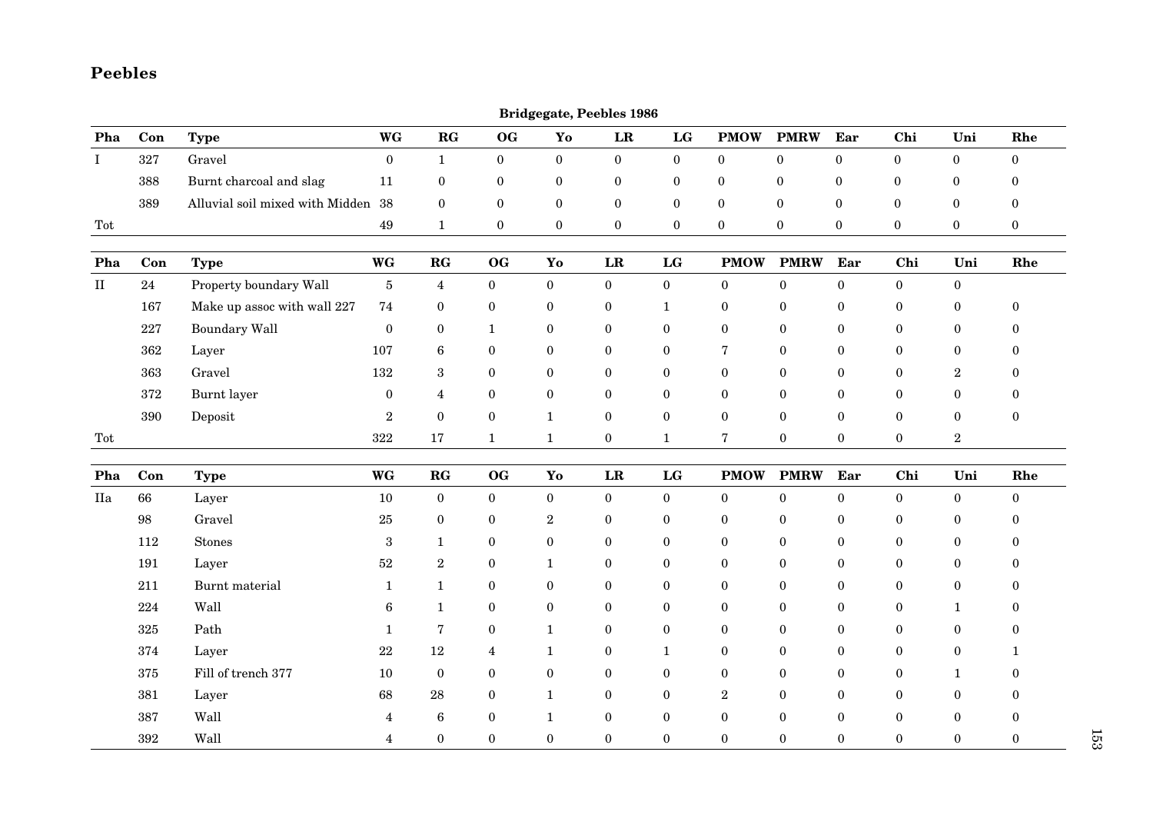## **Peebles**

|          |         |                                    |                  |                       |                  |                  | <b>Bridgegate, Peebles 1986</b> |                  |                  |                  |                  |                  |                  |                  |
|----------|---------|------------------------------------|------------------|-----------------------|------------------|------------------|---------------------------------|------------------|------------------|------------------|------------------|------------------|------------------|------------------|
| Pha      | Con     | <b>Type</b>                        | <b>WG</b>        | $\mathbf{RG}$         | OG               | Yo               | $\mathbf{LR}$                   | $\mathbf{LG}$    | <b>PMOW</b>      | <b>PMRW</b>      | Ear              | Chi              | Uni              | Rhe              |
| $\bf{I}$ | $327\,$ | Gravel                             | $\mathbf{0}$     | $\mathbf{1}$          | $\boldsymbol{0}$ | $\mathbf{0}$     | $\bf{0}$                        | $\mathbf{0}$     | $\boldsymbol{0}$ | $\boldsymbol{0}$ | $\boldsymbol{0}$ | $\boldsymbol{0}$ | $\boldsymbol{0}$ | $\boldsymbol{0}$ |
|          | 388     | Burnt charcoal and slag            | 11               | $\boldsymbol{0}$      | $\boldsymbol{0}$ | $\boldsymbol{0}$ | $\boldsymbol{0}$                | $\boldsymbol{0}$ | $\boldsymbol{0}$ | $\boldsymbol{0}$ | $\boldsymbol{0}$ | $\boldsymbol{0}$ | 0                | $\theta$         |
|          | 389     | Alluvial soil mixed with Midden 38 |                  | $\mathbf{0}$          | $\mathbf{0}$     | $\boldsymbol{0}$ | $\boldsymbol{0}$                | $\mathbf{0}$     | $\boldsymbol{0}$ | $\mathbf{0}$     | $\boldsymbol{0}$ | $\mathbf{0}$     | $\bf{0}$         | $\boldsymbol{0}$ |
| Tot      |         |                                    | 49               | $\mathbf{1}$          | $\bf{0}$         | $\mathbf{0}$     | $\bf{0}$                        | $\mathbf{0}$     | $\bf{0}$         | $\bf{0}$         | $\bf{0}$         | $\boldsymbol{0}$ | $\boldsymbol{0}$ | $\boldsymbol{0}$ |
| Pha      | Con     | <b>Type</b>                        | <b>WG</b>        | $\mathbf{RG}$         | O <sub>G</sub>   | Yo               | $\mathbf{LR}$                   | LG               | <b>PMOW</b>      | <b>PMRW</b>      | Ear              | Chi              | Uni              | Rhe              |
| $\rm II$ | 24      | Property boundary Wall             | $\overline{5}$   | $\overline{4}$        | $\mathbf{0}$     | $\boldsymbol{0}$ | $\boldsymbol{0}$                | $\boldsymbol{0}$ | $\boldsymbol{0}$ | $\overline{0}$   | $\overline{0}$   | $\mathbf{0}$     | $\boldsymbol{0}$ |                  |
|          | 167     | Make up assoc with wall 227        | 74               | $\boldsymbol{0}$      | $\boldsymbol{0}$ | $\bf{0}$         | $\boldsymbol{0}$                | $\mathbf{1}$     | $\bf{0}$         | $\boldsymbol{0}$ | $\boldsymbol{0}$ | $\boldsymbol{0}$ | $\boldsymbol{0}$ | $\mathbf{0}$     |
|          | 227     | <b>Boundary Wall</b>               | $\boldsymbol{0}$ | $\boldsymbol{0}$      | $\mathbf{1}$     | $\boldsymbol{0}$ | $\boldsymbol{0}$                | $\boldsymbol{0}$ | $\boldsymbol{0}$ | $\boldsymbol{0}$ | $\boldsymbol{0}$ | $\boldsymbol{0}$ | $\boldsymbol{0}$ | $\theta$         |
|          | 362     | Layer                              | 107              | $6\phantom{.}6$       | $\bf{0}$         | $\bf{0}$         | $\bf{0}$                        | $\boldsymbol{0}$ | 7                | $\mathbf{0}$     | $\bf{0}$         | $\boldsymbol{0}$ | $\bf{0}$         | $\theta$         |
|          | 363     | Gravel                             | 132              | 3                     | $\boldsymbol{0}$ | $\boldsymbol{0}$ | $\boldsymbol{0}$                | $\boldsymbol{0}$ | $\boldsymbol{0}$ | $\boldsymbol{0}$ | $\boldsymbol{0}$ | $\boldsymbol{0}$ | $\boldsymbol{2}$ | $\theta$         |
|          | 372     | Burnt layer                        | $\boldsymbol{0}$ | $\overline{4}$        | $\boldsymbol{0}$ | $\boldsymbol{0}$ | $\boldsymbol{0}$                | $\boldsymbol{0}$ | $\boldsymbol{0}$ | $\boldsymbol{0}$ | $\bf{0}$         | $\boldsymbol{0}$ | $\boldsymbol{0}$ | $\theta$         |
|          | 390     | Deposit                            | $\,2$            | $\boldsymbol{0}$      | $\boldsymbol{0}$ | $\mathbf{1}$     | $\boldsymbol{0}$                | $\boldsymbol{0}$ | $\boldsymbol{0}$ | $\boldsymbol{0}$ | $\boldsymbol{0}$ | $\boldsymbol{0}$ | $\boldsymbol{0}$ | $\boldsymbol{0}$ |
| Tot      |         |                                    | 322              | 17                    | $\mathbf{1}$     | $\mathbf{1}$     | $\mathbf{0}$                    | $\mathbf{1}$     | $\sqrt{7}$       | $\mathbf{0}$     | $\overline{0}$   | $\overline{0}$   | $\,2\,$          |                  |
| Pha      | Con     | <b>Type</b>                        | <b>WG</b>        | $\mathbf{R}$ <b>G</b> | OG               | Yo               | LR                              | LG               | <b>PMOW</b>      | <b>PMRW</b>      | Ear              | Chi              | Uni              | Rhe              |
| IIa      | 66      | Layer                              | 10               | $\mathbf{0}$          | $\mathbf{0}$     | $\boldsymbol{0}$ | $\boldsymbol{0}$                | $\boldsymbol{0}$ | $\boldsymbol{0}$ | $\overline{0}$   | $\boldsymbol{0}$ | $\overline{0}$   | $\boldsymbol{0}$ | $\bf{0}$         |
|          | 98      | Gravel                             | 25               | $\boldsymbol{0}$      | $\boldsymbol{0}$ | $\sqrt{2}$       | $\boldsymbol{0}$                | $\boldsymbol{0}$ | $\bf{0}$         | $\boldsymbol{0}$ | $\boldsymbol{0}$ | $\boldsymbol{0}$ | $\bf{0}$         | $\mathbf{0}$     |
|          | 112     | <b>Stones</b>                      | $\,3$            | $\mathbf{1}$          | $\bf{0}$         | $\boldsymbol{0}$ | $\boldsymbol{0}$                | $\boldsymbol{0}$ | $\bf{0}$         | $\boldsymbol{0}$ | $\bf{0}$         | $\boldsymbol{0}$ | $\bf{0}$         | $\Omega$         |
|          | 191     | Layer                              | $52\,$           | $\,2$                 | $\mathbf{0}$     | $\mathbf{1}$     | $\mathbf{0}$                    | $\boldsymbol{0}$ | $\mathbf{0}$     | $\mathbf{0}$     | $\mathbf{0}$     | $\boldsymbol{0}$ | $\mathbf{0}$     | $\Omega$         |
|          | 211     | Burnt material                     | $\mathbf{1}$     | $\mathbf{1}$          | $\boldsymbol{0}$ | $\boldsymbol{0}$ | $\boldsymbol{0}$                | $\boldsymbol{0}$ | $\bf{0}$         | $\mathbf{0}$     | $\boldsymbol{0}$ | $\boldsymbol{0}$ | $\boldsymbol{0}$ | $\theta$         |
|          | 224     | Wall                               | 6                | $\mathbf{1}$          | $\boldsymbol{0}$ | $\boldsymbol{0}$ | $\boldsymbol{0}$                | $\boldsymbol{0}$ | $\bf{0}$         | $\boldsymbol{0}$ | $\boldsymbol{0}$ | $\boldsymbol{0}$ | $\mathbf{1}$     | 0                |
|          | 325     | Path                               | $\mathbf{1}$     | 7                     | $\boldsymbol{0}$ | $\mathbf{1}$     | $\boldsymbol{0}$                | $\boldsymbol{0}$ | $\bf{0}$         | $\mathbf{0}$     | $\boldsymbol{0}$ | $\boldsymbol{0}$ | $\boldsymbol{0}$ | $\Omega$         |
|          | 374     | Layer                              | $22\,$           | 12                    | $\overline{4}$   | $\mathbf{1}$     | $\boldsymbol{0}$                | $\mathbf{1}$     | $\mathbf{0}$     | $\mathbf{0}$     | $\mathbf{0}$     | $\mathbf{0}$     | $\mathbf{0}$     | 1                |
|          | 375     | Fill of trench 377                 | 10               | $\bf{0}$              | $\boldsymbol{0}$ | $\boldsymbol{0}$ | $\boldsymbol{0}$                | $\boldsymbol{0}$ | $\bf{0}$         | $\boldsymbol{0}$ | $\boldsymbol{0}$ | $\boldsymbol{0}$ | $\mathbf{1}$     | $\theta$         |
|          | 381     | Layer                              | 68               | 28                    | $\bf{0}$         | $\mathbf{1}$     | $\boldsymbol{0}$                | $\boldsymbol{0}$ | $\sqrt{2}$       | $\boldsymbol{0}$ | $\boldsymbol{0}$ | $\bf{0}$         | $\bf{0}$         | 0                |
|          | 387     | Wall                               | 4                | $\bf 6$               | $\mathbf{0}$     | $\mathbf{1}$     | $\mathbf{0}$                    | $\boldsymbol{0}$ | $\mathbf{0}$     | $\Omega$         | $\mathbf{0}$     | $\mathbf{0}$     | $\bf{0}$         | $\Omega$         |
|          | 392     | Wall                               | $\overline{4}$   | $\mathbf{0}$          | $\Omega$         | $\theta$         | $\theta$                        | $\theta$         | $\theta$         | $\Omega$         | $\theta$         | $\Omega$         | $\theta$         | $\theta$         |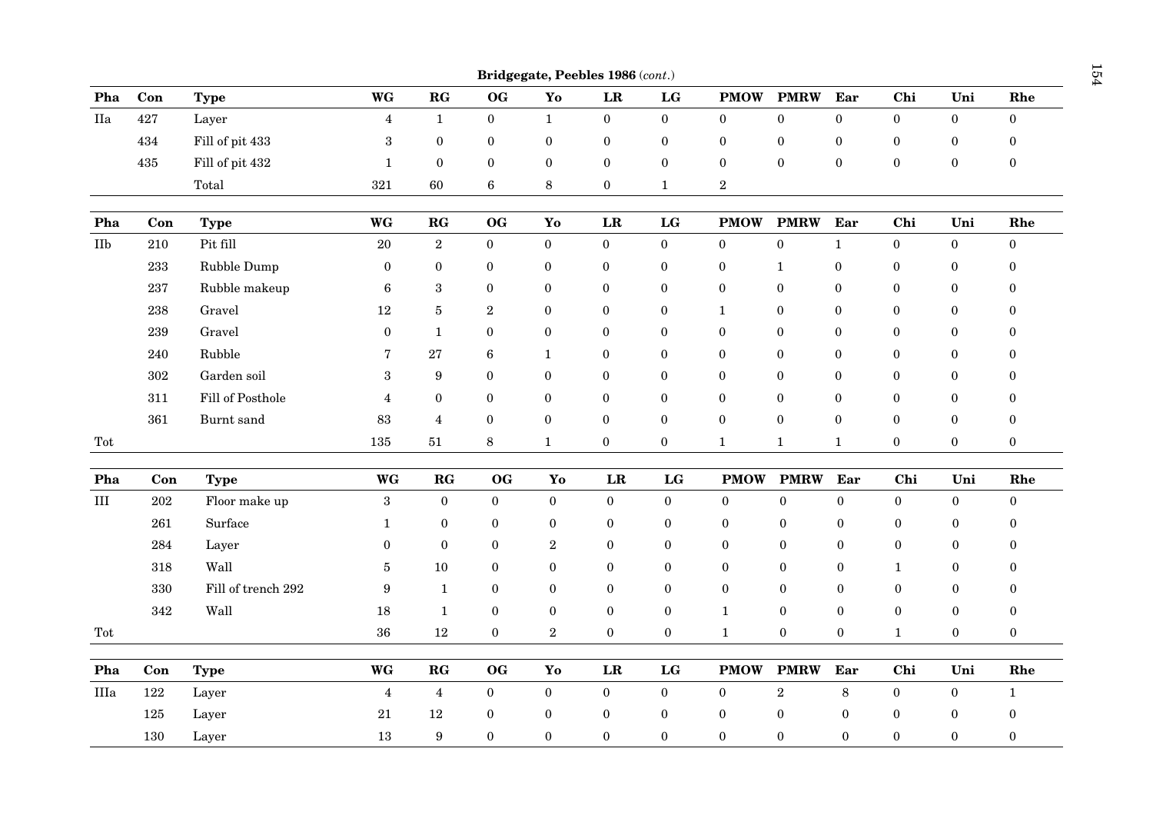|                      |           |                    |                  |                       |                  |                  | Bridgegate, Peebles 1986 (cont.) |                        |                  |                  |                  |                  |                  |                  |
|----------------------|-----------|--------------------|------------------|-----------------------|------------------|------------------|----------------------------------|------------------------|------------------|------------------|------------------|------------------|------------------|------------------|
| Pha                  | Con       | <b>Type</b>        | WG               | $\mathbf{R}$ <b>G</b> | OG               | Yo               | ${\bf LR}$                       | $\mathbf{L}\mathbf{G}$ | <b>PMOW</b>      | <b>PMRW</b>      | Ear              | Chi              | Uni              | Rhe              |
| IIa                  | 427       | Layer              | $\overline{4}$   | $\mathbf 1$           | $\boldsymbol{0}$ | $\mathbf{1}$     | $\bf{0}$                         | $\boldsymbol{0}$       | $\mathbf{0}$     | $\overline{0}$   | $\boldsymbol{0}$ | $\boldsymbol{0}$ | $\bf{0}$         | $\boldsymbol{0}$ |
|                      | 434       | Fill of pit 433    | $\sqrt{3}$       | $\boldsymbol{0}$      | $\boldsymbol{0}$ | $\boldsymbol{0}$ | $\bf{0}$                         | $\boldsymbol{0}$       | $\boldsymbol{0}$ | $\boldsymbol{0}$ | $\boldsymbol{0}$ | $\boldsymbol{0}$ | $\bf{0}$         | $\boldsymbol{0}$ |
|                      | 435       | Fill of pit 432    | $\mathbf{1}$     | $\bf{0}$              | $\boldsymbol{0}$ | $\boldsymbol{0}$ | $\boldsymbol{0}$                 | $\bf{0}$               | $\boldsymbol{0}$ | $\boldsymbol{0}$ | $\boldsymbol{0}$ | $\boldsymbol{0}$ | $\bf{0}$         | $\boldsymbol{0}$ |
|                      |           | Total              | 321              | 60                    | 6                | 8                | $\bf{0}$                         | $\mathbf{1}$           | $\overline{2}$   |                  |                  |                  |                  |                  |
| Pha                  | Con       | <b>Type</b>        | <b>WG</b>        | $\mathbf{R}$ <b>G</b> | O <sub>G</sub>   | Yo               | LR                               | $\mathbf{LG}$          | <b>PMOW</b>      | <b>PMRW</b>      | Ear              | Chi              | Uni              | Rhe              |
| IIb                  | 210       | Pit fill           | 20               | $\overline{2}$        | $\boldsymbol{0}$ | $\mathbf{0}$     | $\boldsymbol{0}$                 | $\boldsymbol{0}$       | $\mathbf{0}$     | $\boldsymbol{0}$ | $\mathbf{1}$     | $\boldsymbol{0}$ | $\mathbf{0}$     | $\boldsymbol{0}$ |
|                      | $233\,$   | Rubble Dump        | $\boldsymbol{0}$ | $\boldsymbol{0}$      | $\boldsymbol{0}$ | $\boldsymbol{0}$ | $\boldsymbol{0}$                 | $\boldsymbol{0}$       | $\bf{0}$         | $\mathbf{1}$     | $\boldsymbol{0}$ | $\boldsymbol{0}$ | $\bf{0}$         | $\boldsymbol{0}$ |
|                      | $\bf 237$ | Rubble makeup      | $\,6$            | $\,3$                 | $\boldsymbol{0}$ | $\boldsymbol{0}$ | $\boldsymbol{0}$                 | $\bf{0}$               | $\boldsymbol{0}$ | $\boldsymbol{0}$ | $\boldsymbol{0}$ | $\boldsymbol{0}$ | $\bf{0}$         | $\boldsymbol{0}$ |
|                      | 238       | Gravel             | 12               | $\bf 5$               | $\sqrt{2}$       | $\boldsymbol{0}$ | $\boldsymbol{0}$                 | $\boldsymbol{0}$       | $\mathbf{1}$     | $\boldsymbol{0}$ | $\boldsymbol{0}$ | $\boldsymbol{0}$ | $\boldsymbol{0}$ | $\boldsymbol{0}$ |
|                      | 239       | Gravel             | $\boldsymbol{0}$ | $\mathbf{1}$          | $\boldsymbol{0}$ | $\boldsymbol{0}$ | $\boldsymbol{0}$                 | $\bf{0}$               | $\mathbf{0}$     | $\boldsymbol{0}$ | $\boldsymbol{0}$ | $\boldsymbol{0}$ | $\boldsymbol{0}$ | $\bf{0}$         |
|                      | 240       | Rubble             | 7                | $\bf 27$              | $\boldsymbol{6}$ | $\mathbf{1}$     | $\boldsymbol{0}$                 | $\boldsymbol{0}$       | $\boldsymbol{0}$ | $\boldsymbol{0}$ | $\boldsymbol{0}$ | $\boldsymbol{0}$ | $\boldsymbol{0}$ | $\boldsymbol{0}$ |
|                      | $302\,$   | Garden soil        | $\sqrt{3}$       | $\boldsymbol{9}$      | $\boldsymbol{0}$ | $\boldsymbol{0}$ | $\bf{0}$                         | $\bf{0}$               | $\bf{0}$         | $\boldsymbol{0}$ | $\boldsymbol{0}$ | $\boldsymbol{0}$ | $\bf{0}$         | $\bf{0}$         |
|                      | 311       | Fill of Posthole   | $\overline{4}$   | $\boldsymbol{0}$      | $\boldsymbol{0}$ | $\boldsymbol{0}$ | $\boldsymbol{0}$                 | $\boldsymbol{0}$       | $\boldsymbol{0}$ | $\boldsymbol{0}$ | $\boldsymbol{0}$ | $\boldsymbol{0}$ | $\boldsymbol{0}$ | $\boldsymbol{0}$ |
|                      | 361       | Burnt sand         | 83               | $\overline{4}$        | $\boldsymbol{0}$ | $\boldsymbol{0}$ | $\boldsymbol{0}$                 | $\bf{0}$               | $\bf{0}$         | $\boldsymbol{0}$ | $\boldsymbol{0}$ | $\boldsymbol{0}$ | $\boldsymbol{0}$ | $\boldsymbol{0}$ |
| Tot                  |           |                    | 135              | 51                    | $\,$ 8 $\,$      | $\mathbf{1}$     | $\boldsymbol{0}$                 | $\boldsymbol{0}$       | $\mathbf{1}$     | $\mathbf{1}$     | $\mathbf{1}$     | $\boldsymbol{0}$ | $\bf{0}$         | $\boldsymbol{0}$ |
| Pha                  | Con       | <b>Type</b>        | WG               | ${\bf RG}$            | OG               | Yo               | $\mathbf{LR}$                    | $\mathbf{LG}$          | <b>PMOW</b>      | <b>PMRW</b>      | Ear              | Chi              | Uni              | Rhe              |
| III                  | $\>202$   | Floor make up      | $\boldsymbol{3}$ | $\boldsymbol{0}$      | $\bf{0}$         | $\boldsymbol{0}$ | $\boldsymbol{0}$                 | $\bf{0}$               | $\bf{0}$         | $\boldsymbol{0}$ | $\boldsymbol{0}$ | $\boldsymbol{0}$ | $\boldsymbol{0}$ | $\boldsymbol{0}$ |
|                      | 261       | Surface            | $\mathbf{1}$     | $\boldsymbol{0}$      | $\boldsymbol{0}$ | $\bf{0}$         | $\bf{0}$                         | $\bf{0}$               | $\boldsymbol{0}$ | $\boldsymbol{0}$ | $\boldsymbol{0}$ | $\bf{0}$         | $\bf{0}$         | $\bf{0}$         |
|                      | 284       | Layer              | $\boldsymbol{0}$ | $\bf{0}$              | $\boldsymbol{0}$ | $\,2$            | $\bf{0}$                         | $\boldsymbol{0}$       | $\bf{0}$         | $\bf{0}$         | $\boldsymbol{0}$ | $\boldsymbol{0}$ | $\bf{0}$         | $\bf{0}$         |
|                      | $318\,$   | Wall               | $\bf 5$          | 10                    | $\boldsymbol{0}$ | $\boldsymbol{0}$ | $\bf{0}$                         | $\bf{0}$               | $\bf{0}$         | $\bf{0}$         | $\bf{0}$         | $\mathbf{1}$     | $\bf{0}$         | $\bf{0}$         |
|                      | 330       | Fill of trench 292 | $\boldsymbol{9}$ | $\mathbf{1}$          | $\boldsymbol{0}$ | $\bf{0}$         | $\bf{0}$                         | $\boldsymbol{0}$       | $\mathbf{0}$     | $\boldsymbol{0}$ | $\boldsymbol{0}$ | $\boldsymbol{0}$ | $\bf{0}$         | $\boldsymbol{0}$ |
|                      | 342       | Wall               | 18               | $\mathbf{1}$          | $\boldsymbol{0}$ | $\bf{0}$         | $\boldsymbol{0}$                 | $\bf{0}$               | $\mathbf{1}$     | $\boldsymbol{0}$ | $\boldsymbol{0}$ | $\boldsymbol{0}$ | $\bf{0}$         | $\boldsymbol{0}$ |
| $\operatorname{Tot}$ |           |                    | 36               | 12                    | $\boldsymbol{0}$ | $\,2$            | $\boldsymbol{0}$                 | $\bf{0}$               | $\mathbf{1}$     | $\boldsymbol{0}$ | $\mathbf{0}$     | $\mathbf{1}$     | $\bf{0}$         | $\boldsymbol{0}$ |
| Pha                  | Con       | <b>Type</b>        | <b>WG</b>        | $\mathbf{RG}$         | OG               | Yo               | LR                               | LG                     | <b>PMOW</b>      | <b>PMRW</b>      | Ear              | Chi              | Uni              | Rhe              |
| IIIa                 | 122       | Layer              | $\overline{4}$   | $\overline{4}$        | $\boldsymbol{0}$ | $\boldsymbol{0}$ | $\boldsymbol{0}$                 | $\boldsymbol{0}$       | $\bf{0}$         | $\overline{2}$   | $\,8\,$          | $\boldsymbol{0}$ | $\bf{0}$         | $\mathbf{1}$     |
|                      | 125       | Layer              | $21\,$           | 12                    | $\boldsymbol{0}$ | $\bf{0}$         | $\bf{0}$                         | $\bf{0}$               | $\bf{0}$         | $\boldsymbol{0}$ | $\boldsymbol{0}$ | $\boldsymbol{0}$ | $\boldsymbol{0}$ | $\boldsymbol{0}$ |
|                      | 130       | Layer              | 13               | 9                     | $\boldsymbol{0}$ | $\mathbf{0}$     | $\boldsymbol{0}$                 | $\boldsymbol{0}$       | $\boldsymbol{0}$ | $\boldsymbol{0}$ | $\mathbf{0}$     | $\boldsymbol{0}$ | $\mathbf{0}$     | $\boldsymbol{0}$ |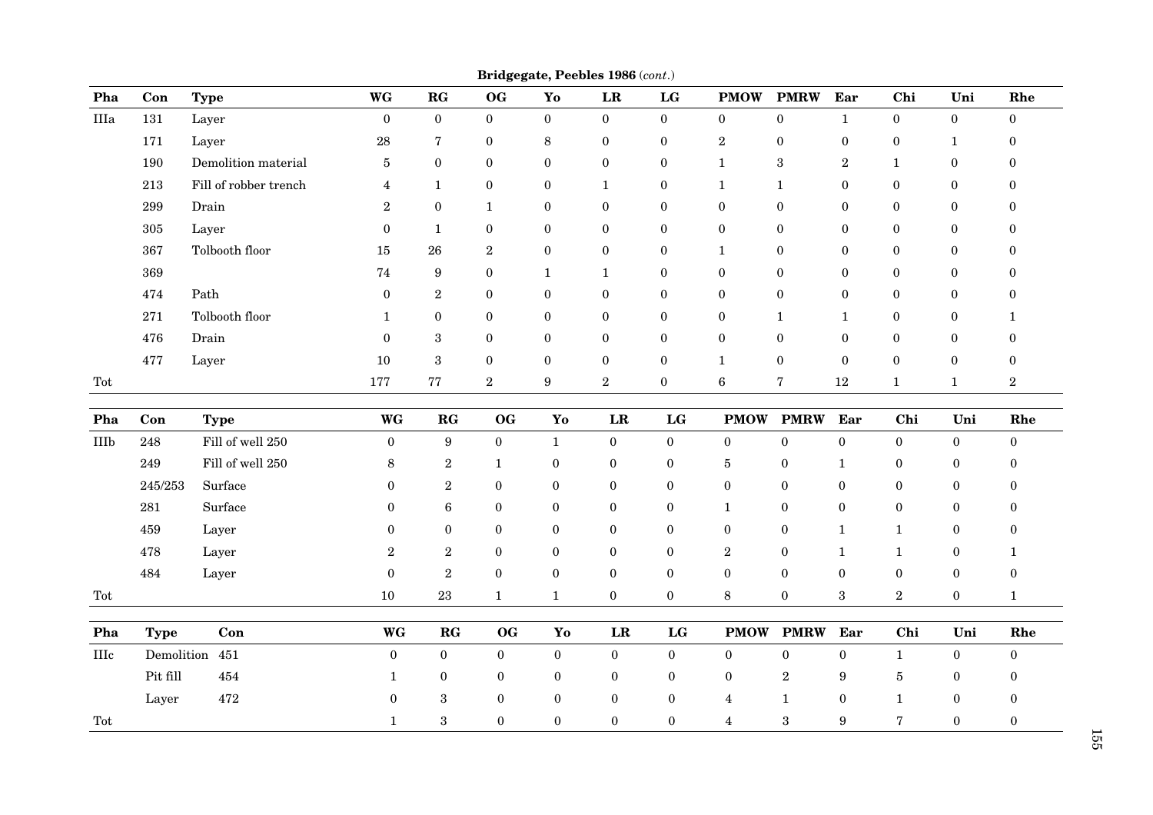| Pha         | Con         | <b>Type</b>           | WG               | RG                    | ິ<br><b>OG</b>   | Yo               | $\mathbf{LR}$    | $\mathbf{LG}$    | <b>PMOW</b>      | <b>PMRW</b>      | Ear              | Chi              | Uni              | Rhe              |
|-------------|-------------|-----------------------|------------------|-----------------------|------------------|------------------|------------------|------------------|------------------|------------------|------------------|------------------|------------------|------------------|
| $\rm IIIa$  | 131         | Layer                 | $\mathbf{0}$     | $\mathbf{0}$          | $\mathbf{0}$     | $\overline{0}$   | $\boldsymbol{0}$ | $\boldsymbol{0}$ | $\overline{0}$   | $\mathbf{0}$     | $\mathbf 1$      | $\boldsymbol{0}$ | $\boldsymbol{0}$ | $\boldsymbol{0}$ |
|             | 171         | Layer                 | 28               | $\overline{7}$        | $\boldsymbol{0}$ | 8                | $\boldsymbol{0}$ | $\boldsymbol{0}$ | $\sqrt{2}$       | $\boldsymbol{0}$ | $\boldsymbol{0}$ | $\boldsymbol{0}$ | $\mathbf{1}$     | $\boldsymbol{0}$ |
|             | 190         | Demolition material   | 5                | $\mathbf{0}$          | $\theta$         | $\mathbf{0}$     | $\mathbf{0}$     | $\boldsymbol{0}$ | $\mathbf{1}$     | 3                | $\overline{2}$   | $\mathbf{1}$     | $\mathbf{0}$     | $\Omega$         |
|             | 213         | Fill of robber trench | $\overline{4}$   | $\mathbf{1}$          | $\boldsymbol{0}$ | $\boldsymbol{0}$ | $\mathbf{1}$     | $\bf{0}$         | 1                | $\mathbf{1}$     | $\mathbf{0}$     | $\boldsymbol{0}$ | $\boldsymbol{0}$ | $\Omega$         |
|             | 299         | Drain                 | $\overline{2}$   | $\mathbf{0}$          | 1                | $\mathbf{0}$     | $\mathbf{0}$     | $\boldsymbol{0}$ | $\mathbf{0}$     | $\boldsymbol{0}$ | $\mathbf{0}$     | $\mathbf{0}$     | $\boldsymbol{0}$ | 0                |
|             | 305         | Layer                 | $\boldsymbol{0}$ | $\mathbf{1}$          | $\bf{0}$         | $\boldsymbol{0}$ | $\boldsymbol{0}$ | $\boldsymbol{0}$ | $\boldsymbol{0}$ | $\boldsymbol{0}$ | $\mathbf{0}$     | $\boldsymbol{0}$ | $\boldsymbol{0}$ | 0                |
|             | 367         | Tolbooth floor        | 15               | 26                    | $\boldsymbol{2}$ | $\boldsymbol{0}$ | $\mathbf{0}$     | $\boldsymbol{0}$ | $\mathbf 1$      | $\mathbf{0}$     | $\mathbf{0}$     | $\mathbf{0}$     | $\boldsymbol{0}$ | 0                |
|             | 369         |                       | 74               | $\boldsymbol{9}$      | $\boldsymbol{0}$ | $\mathbf{1}$     | $\mathbf{1}$     | $\bf{0}$         | $\boldsymbol{0}$ | $\boldsymbol{0}$ | $\bf{0}$         | $\boldsymbol{0}$ | $\boldsymbol{0}$ | 0                |
|             | 474         | Path                  | $\theta$         | $\boldsymbol{2}$      | $\bf{0}$         | $\mathbf{0}$     | $\mathbf{0}$     | $\bf{0}$         | $\mathbf{0}$     | $\mathbf{0}$     | $\mathbf{0}$     | $\bf{0}$         | $\boldsymbol{0}$ | $\Omega$         |
|             | 271         | Tolbooth floor        | 1                | $\bf{0}$              | $\bf{0}$         | $\boldsymbol{0}$ | $\boldsymbol{0}$ | $\boldsymbol{0}$ | $\boldsymbol{0}$ | 1                | 1                | $\boldsymbol{0}$ | $\boldsymbol{0}$ | 1                |
|             | 476         | Drain                 | $\Omega$         | 3                     | $\mathbf{0}$     | $\mathbf{0}$     | $\mathbf{0}$     | $\boldsymbol{0}$ | $\mathbf{0}$     | $\theta$         | $\mathbf{0}$     | $\mathbf{0}$     | $\boldsymbol{0}$ | $\Omega$         |
|             | 477         | Layer                 | 10               | $\sqrt{3}$            | $\bf{0}$         | $\boldsymbol{0}$ | $\boldsymbol{0}$ | $\boldsymbol{0}$ | $\mathbf{1}$     | $\bf{0}$         | $\bf{0}$         | $\boldsymbol{0}$ | $\boldsymbol{0}$ | 0                |
| Tot         |             |                       | 177              | ${\bf 77}$            | $\sqrt{2}$       | 9                | $\,2$            | $\bf{0}$         | $\,6\,$          | 7                | 12               | $\mathbf{1}$     | $\mathbf{1}$     | $\boldsymbol{2}$ |
| Pha         | Con         | <b>Type</b>           | <b>WG</b>        | $\mathbf{R}$ <b>G</b> | <b>OG</b>        | Yo               | LR               | LG               | <b>PMOW</b>      | <b>PMRW</b>      | Ear              | Chi              | Uni              | Rhe              |
| IIIb        | 248         | Fill of well 250      | $\overline{0}$   | 9                     | $\mathbf{0}$     | $\mathbf{1}$     | $\boldsymbol{0}$ | $\bf{0}$         | $\overline{0}$   | $\boldsymbol{0}$ | $\boldsymbol{0}$ | $\bf{0}$         | $\bf{0}$         | $\mathbf{0}$     |
|             | 249         | Fill of well 250      | $\,8\,$          | $\boldsymbol{2}$      | $\mathbf{1}$     | $\boldsymbol{0}$ | $\boldsymbol{0}$ | $\mathbf{0}$     | $\overline{5}$   | $\boldsymbol{0}$ | $\mathbf{1}$     | $\mathbf{0}$     | $\mathbf{0}$     | $\mathbf{0}$     |
|             | 245/253     | Surface               | $\Omega$         | $\boldsymbol{2}$      | $\mathbf{0}$     | $\boldsymbol{0}$ | $\boldsymbol{0}$ | $\mathbf{0}$     | $\mathbf{0}$     | $\mathbf{0}$     | $\bf{0}$         | $\bf{0}$         | $\bf{0}$         | $\Omega$         |
|             | 281         | Surface               | $\theta$         | $\bf 6$               | $\mathbf{0}$     | $\boldsymbol{0}$ | $\mathbf{0}$     | $\mathbf{0}$     | $\mathbf{1}$     | $\boldsymbol{0}$ | $\boldsymbol{0}$ | $\mathbf{0}$     | $\mathbf{0}$     | $\Omega$         |
|             | 459         | Layer                 | $\boldsymbol{0}$ | $\boldsymbol{0}$      | $\mathbf{0}$     | $\boldsymbol{0}$ | $\boldsymbol{0}$ | $\mathbf{0}$     | $\mathbf{0}$     | $\boldsymbol{0}$ | $\mathbf{1}$     | $\mathbf 1$      | $\bf{0}$         | $\theta$         |
|             | 478         | Layer                 | $\overline{2}$   | $\sqrt{2}$            | $\boldsymbol{0}$ | $\boldsymbol{0}$ | $\boldsymbol{0}$ | $\mathbf{0}$     | $\,2$            | $\boldsymbol{0}$ | $\mathbf{1}$     | $\mathbf{1}$     | $\boldsymbol{0}$ | 1                |
|             | 484         | Layer                 | $\boldsymbol{0}$ | $\sqrt{2}$            | $\boldsymbol{0}$ | $\boldsymbol{0}$ | $\boldsymbol{0}$ | $\boldsymbol{0}$ | $\mathbf{0}$     | $\boldsymbol{0}$ | $\bf{0}$         | $\boldsymbol{0}$ | $\boldsymbol{0}$ | $\boldsymbol{0}$ |
| Tot         |             |                       | 10               | 23                    | $\mathbf{1}$     | $\mathbf{1}$     | $\boldsymbol{0}$ | $\mathbf{0}$     | 8                | $\bf{0}$         | $\boldsymbol{3}$ | $\sqrt{2}$       | $\mathbf{0}$     | $\mathbf{1}$     |
| Pha         | <b>Type</b> | Con                   | <b>WG</b>        | RG                    | <b>OG</b>        | Yo               | ${\bf LR}$       | LG               | <b>PMOW</b>      | <b>PMRW</b>      | Ear              | Chi              | Uni              | Rhe              |
| <b>IIIc</b> |             | Demolition 451        | $\overline{0}$   | $\boldsymbol{0}$      | $\boldsymbol{0}$ | $\boldsymbol{0}$ | $\boldsymbol{0}$ | $\bf{0}$         | $\bf{0}$         | $\boldsymbol{0}$ | $\boldsymbol{0}$ | $\mathbf{1}$     | $\bf{0}$         | $\boldsymbol{0}$ |
|             | Pit fill    | 454                   | 1                | $\bf{0}$              | $\bf{0}$         | $\bf{0}$         | $\boldsymbol{0}$ | $\boldsymbol{0}$ | $\bf{0}$         | $\,2$            | 9                | $\bf 5$          | $\boldsymbol{0}$ | $\bf{0}$         |
|             | Layer       | 472                   | $\boldsymbol{0}$ | $\boldsymbol{3}$      | $\boldsymbol{0}$ | $\bf{0}$         | $\boldsymbol{0}$ | $\bf{0}$         | 4                | $\mathbf{1}$     | $\boldsymbol{0}$ | $\mathbf{1}$     | $\bf{0}$         | $\mathbf{0}$     |
| Tot         |             |                       | $\mathbf{1}$     | $\boldsymbol{3}$      | $\bf{0}$         | $\boldsymbol{0}$ | $\boldsymbol{0}$ | $\boldsymbol{0}$ | $\overline{4}$   | $\sqrt{3}$       | 9                | 7                | $\bf{0}$         | $\boldsymbol{0}$ |

**Bridgegate, Peebles 1986** (*cont*.)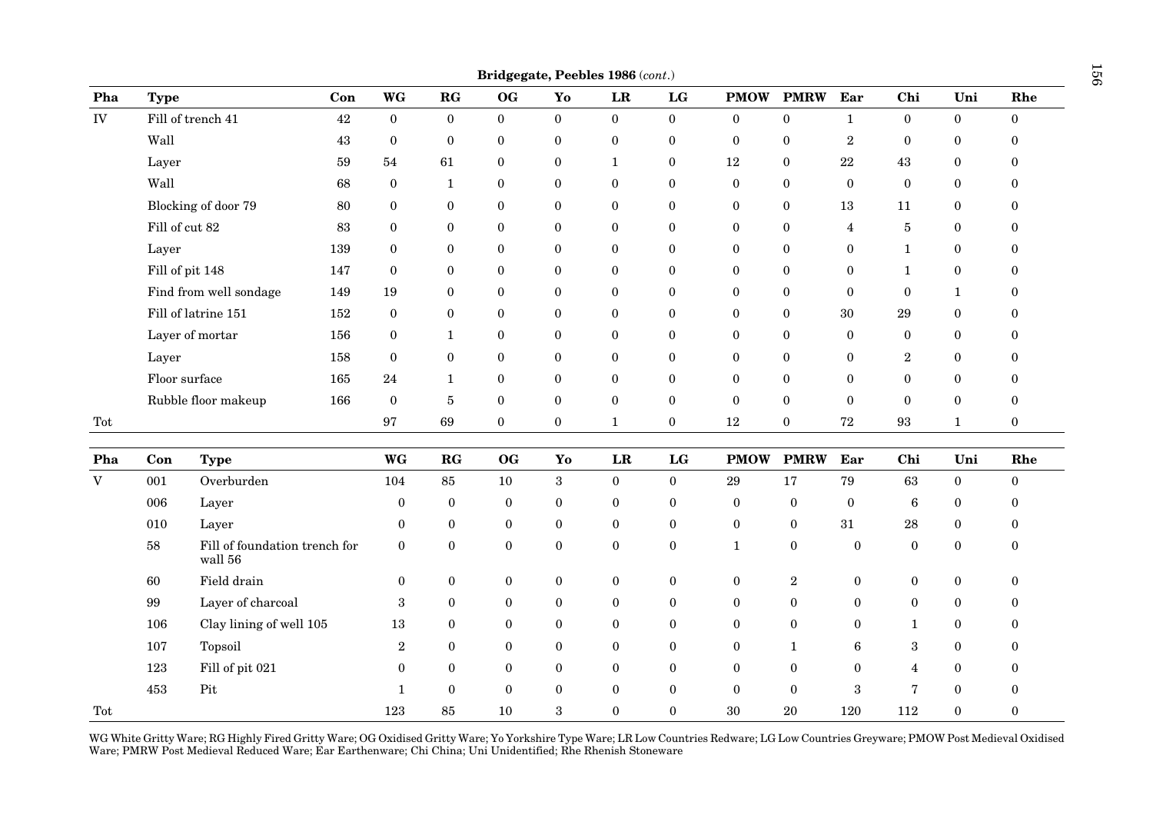|             |                |                                          |        |                  |                       |                  |                  | Bridgegate, Peebles 1986 (cont.) |                  |                  |                  |                  |                   |                  |                  |
|-------------|----------------|------------------------------------------|--------|------------------|-----------------------|------------------|------------------|----------------------------------|------------------|------------------|------------------|------------------|-------------------|------------------|------------------|
| Pha         | <b>Type</b>    |                                          | Con    | WG               | $\mathbf{R}$ <b>G</b> | $\mathbf{OG}$    | Yo               | ${\bf LR}$                       | LG               | <b>PMOW</b>      | <b>PMRW</b>      | Ear              | Chi               | Uni              | Rhe              |
| ${\rm IV}$  |                | Fill of trench 41                        | $42\,$ | $\boldsymbol{0}$ | $\boldsymbol{0}$      | $\mathbf{0}$     | $\mathbf{0}$     | $\mathbf{0}$                     | $\mathbf{0}$     | $\boldsymbol{0}$ | $\boldsymbol{0}$ | $\mathbf{1}$     | $\bf{0}$          | $\boldsymbol{0}$ | $\boldsymbol{0}$ |
|             | Wall           |                                          | $43\,$ | $\boldsymbol{0}$ | $\boldsymbol{0}$      | $\boldsymbol{0}$ | $\boldsymbol{0}$ | $\boldsymbol{0}$                 | $\boldsymbol{0}$ | $\boldsymbol{0}$ | $\boldsymbol{0}$ | $\,2$            | $\bf{0}$          | $\bf{0}$         | $\boldsymbol{0}$ |
|             | Layer          |                                          | 59     | 54               | 61                    | $\bf{0}$         | $\boldsymbol{0}$ | $\mathbf{1}$                     | $\boldsymbol{0}$ | 12               | $\bf{0}$         | $22\,$           | 43                | $\boldsymbol{0}$ | $\bf{0}$         |
|             | Wall           |                                          | 68     | $\bf{0}$         | $\mathbf{1}$          | $\boldsymbol{0}$ | $\boldsymbol{0}$ | $\bf{0}$                         | $\bf{0}$         | $\boldsymbol{0}$ | $\boldsymbol{0}$ | $\boldsymbol{0}$ | $\boldsymbol{0}$  | $\bf{0}$         | $\boldsymbol{0}$ |
|             |                | Blocking of door 79                      | 80     | $\boldsymbol{0}$ | $\boldsymbol{0}$      | $\bf{0}$         | $\boldsymbol{0}$ | $\boldsymbol{0}$                 | $\bf{0}$         | $\boldsymbol{0}$ | $\boldsymbol{0}$ | 13               | 11                | $\boldsymbol{0}$ | $\boldsymbol{0}$ |
|             | Fill of cut 82 |                                          | 83     | $\bf{0}$         | $\boldsymbol{0}$      | $\boldsymbol{0}$ | $\boldsymbol{0}$ | $\bf{0}$                         | $\boldsymbol{0}$ | $\boldsymbol{0}$ | $\boldsymbol{0}$ | $\overline{4}$   | $\bf 5$           | $\boldsymbol{0}$ | $\boldsymbol{0}$ |
|             | Layer          |                                          | 139    | $\bf{0}$         | $\boldsymbol{0}$      | $\bf{0}$         | $\boldsymbol{0}$ | $\bf{0}$                         | $\boldsymbol{0}$ | $\boldsymbol{0}$ | $\boldsymbol{0}$ | $\boldsymbol{0}$ | $\mathbf{1}$      | $\bf{0}$         | $\bf{0}$         |
|             |                | Fill of pit 148                          | 147    | $\bf{0}$         | $\boldsymbol{0}$      | $\boldsymbol{0}$ | $\boldsymbol{0}$ | $\mathbf{0}$                     | $\mathbf{0}$     | $\mathbf{0}$     | $\bf{0}$         | $\boldsymbol{0}$ | $\mathbf{1}$      | $\bf{0}$         | $\boldsymbol{0}$ |
|             |                | Find from well sondage                   | 149    | 19               | $\bf{0}$              | $\bf{0}$         | $\boldsymbol{0}$ | $\bf{0}$                         | $\bf{0}$         | $\boldsymbol{0}$ | $\boldsymbol{0}$ | $\boldsymbol{0}$ | $\boldsymbol{0}$  | $\mathbf{1}$     | $\bf{0}$         |
|             |                | Fill of latrine 151                      | 152    | $\boldsymbol{0}$ | $\boldsymbol{0}$      | $\boldsymbol{0}$ | $\boldsymbol{0}$ | $\boldsymbol{0}$                 | $\boldsymbol{0}$ | $\boldsymbol{0}$ | $\boldsymbol{0}$ | $30\,$           | $\rm 29$          | $\boldsymbol{0}$ | $\boldsymbol{0}$ |
|             |                | Layer of mortar                          | 156    | $\bf{0}$         | $\mathbf{1}$          | $\overline{0}$   | $\boldsymbol{0}$ | $\mathbf{0}$                     | $\bf{0}$         | $\mathbf{0}$     | $\bf{0}$         | $\boldsymbol{0}$ | $\bf{0}$          | $\bf{0}$         | $\bf{0}$         |
|             | Layer          |                                          | 158    | $\bf{0}$         | $\boldsymbol{0}$      | $\boldsymbol{0}$ | $\bf{0}$         | $\bf{0}$                         | $\bf{0}$         | $\boldsymbol{0}$ | $\bf{0}$         | $\boldsymbol{0}$ | $\sqrt{2}$        | $\boldsymbol{0}$ | $\boldsymbol{0}$ |
|             | Floor surface  |                                          | 165    | 24               | $\mathbf{1}$          | $\boldsymbol{0}$ | $\boldsymbol{0}$ | $\mathbf{0}$                     | $\mathbf{0}$     | $\mathbf{0}$     | $\boldsymbol{0}$ | $\boldsymbol{0}$ | $\boldsymbol{0}$  | $\bf{0}$         | $\boldsymbol{0}$ |
|             |                | Rubble floor makeup                      | 166    | $\boldsymbol{0}$ | $\bf 5$               | $\boldsymbol{0}$ | $\boldsymbol{0}$ | $\bf{0}$                         | $\bf{0}$         | $\boldsymbol{0}$ | $\boldsymbol{0}$ | $\boldsymbol{0}$ | $\bf{0}$          | $\boldsymbol{0}$ | $\boldsymbol{0}$ |
| Tot         |                |                                          |        | $\bf 97$         | 69                    | $\boldsymbol{0}$ | $\boldsymbol{0}$ | $\mathbf{1}$                     | $\boldsymbol{0}$ | $12\,$           | $\boldsymbol{0}$ | $\sqrt{72}$      | $\boldsymbol{93}$ | $\mathbf{1}$     | $\boldsymbol{0}$ |
| Pha         | Con            | <b>Type</b>                              |        | <b>WG</b>        | RG                    | <b>OG</b>        | Yo               | LR                               | LG               | <b>PMOW</b>      | <b>PMRW</b>      | Ear              | Chi               | Uni              | Rhe              |
| $\mathbf V$ | 001            | Overburden                               |        | 104              | $85\,$                | 10               | $\boldsymbol{3}$ | $\mathbf{0}$                     | $\mathbf{0}$     | $\rm 29$         | 17               | $\bf 79$         | $63\,$            | $\boldsymbol{0}$ | $\boldsymbol{0}$ |
|             | 006            | Layer                                    |        | $\mathbf{0}$     | $\boldsymbol{0}$      | $\bf{0}$         | $\bf{0}$         | $\mathbf{0}$                     | $\boldsymbol{0}$ | $\bf{0}$         | $\bf{0}$         | $\boldsymbol{0}$ | 6                 | $\bf{0}$         | $\bf{0}$         |
|             | 010            | Layer                                    |        | $\mathbf{0}$     | $\bf{0}$              | $\bf{0}$         | $\boldsymbol{0}$ | $\boldsymbol{0}$                 | $\boldsymbol{0}$ | $\boldsymbol{0}$ | $\bf{0}$         | 31               | ${\bf 28}$        | $\boldsymbol{0}$ | $\boldsymbol{0}$ |
|             | $58\,$         | Fill of foundation trench for<br>wall 56 |        | $\theta$         | $\mathbf{0}$          | $\mathbf{0}$     | $\bf{0}$         | $\mathbf{0}$                     | $\boldsymbol{0}$ | $\mathbf{1}$     | $\mathbf{0}$     | $\boldsymbol{0}$ | $\bf{0}$          | $\overline{0}$   | $\boldsymbol{0}$ |
|             | 60             | Field drain                              |        | $\boldsymbol{0}$ | $\boldsymbol{0}$      | $\bf{0}$         | $\boldsymbol{0}$ | $\bf{0}$                         | $\bf{0}$         | $\bf{0}$         | $\,2$            | $\boldsymbol{0}$ | $\bf{0}$          | $\boldsymbol{0}$ | $\boldsymbol{0}$ |
|             | 99             | Layer of charcoal                        |        | $\sqrt{3}$       | $\bf{0}$              | $\bf{0}$         | $\bf{0}$         | $\bf{0}$                         | $\boldsymbol{0}$ | $\bf{0}$         | $\bf{0}$         | $\boldsymbol{0}$ | $\boldsymbol{0}$  | $\bf{0}$         | $\boldsymbol{0}$ |
|             | 106            | Clay lining of well 105                  |        | 13               | $\bf{0}$              | $\bf{0}$         | $\bf{0}$         | $\bf{0}$                         | $\boldsymbol{0}$ | $\bf{0}$         | $\mathbf{0}$     | $\boldsymbol{0}$ | $\mathbf{1}$      | $\bf{0}$         | $\bf{0}$         |
|             | 107            | Topsoil                                  |        | $\sqrt{2}$       | $\bf{0}$              | $\boldsymbol{0}$ | $\boldsymbol{0}$ | $\bf{0}$                         | $\boldsymbol{0}$ | $\boldsymbol{0}$ | $\mathbf{1}$     | $\,6$            | $\,3\,$           | $\boldsymbol{0}$ | $\boldsymbol{0}$ |
|             | 123            | Fill of pit 021                          |        | $\mathbf{0}$     | $\mathbf{0}$          | $\mathbf{0}$     | $\bf{0}$         | $\mathbf{0}$                     | $\mathbf{0}$     | $\mathbf{0}$     | $\bf{0}$         | $\bf{0}$         | 4                 | $\bf{0}$         | $\bf{0}$         |
|             | 453            | $\mathop{\rm Pit}$                       |        | $\mathbf{1}$     | $\mathbf{0}$          | $\boldsymbol{0}$ | $\boldsymbol{0}$ | $\boldsymbol{0}$                 | $\boldsymbol{0}$ | $\bf{0}$         | $\boldsymbol{0}$ | $\,3\,$          | $\overline{7}$    | $\boldsymbol{0}$ | $\boldsymbol{0}$ |
| Tot         |                |                                          |        | 123              | 85                    | 10               | 3                | $\theta$                         | $\Omega$         | 30               | 20               | 120              | 112               | $\overline{0}$   | $\Omega$         |

WG White Gritty Ware; RG Highly Fired Gritty Ware; OG Oxidised Gritty Ware; Yo Yorkshire Type Ware; LR Low Countries Redware; LG Low Countries Greyware; PMOW Post Medieval Oxidised Ware; PMRW Post Medieval Reduced Ware; Ear Earthenware; Chi China; Uni Unidentified; Rhe Rhenish Stoneware